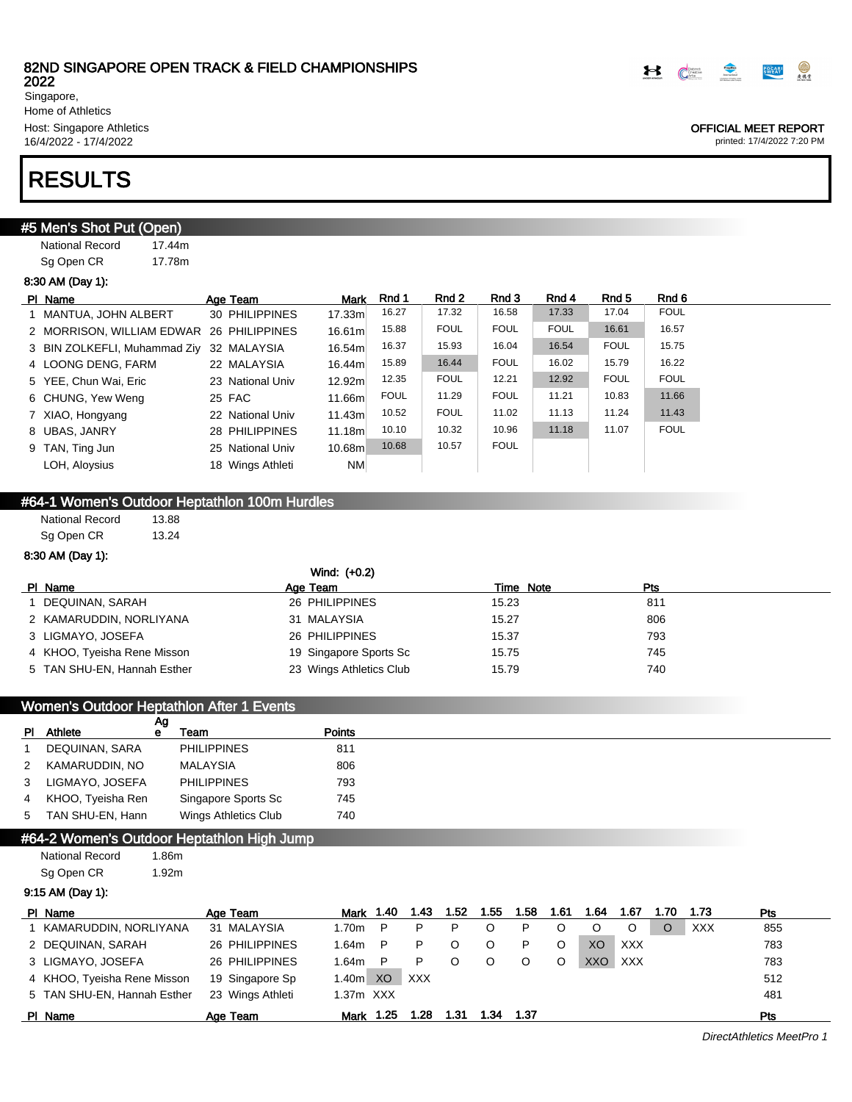

OFFICIAL MEET REPORT printed: 17/4/2022 7:20 PM

Singapore, Home of Athletics Host: Singapore Athletics 16/4/2022 - 17/4/2022

## RESULTS

## **#5 Men's Shot Put (Open)**

National Record 17.44m Sg Open CR 17.78m

### 8:30 AM (Day 1):

| PI Name                                  | Age Team         | <b>Mark</b> | Rnd 1       | Rnd 2       | Rnd 3       | Rnd 4       | Rnd 5       | Rnd 6       |
|------------------------------------------|------------------|-------------|-------------|-------------|-------------|-------------|-------------|-------------|
| 1 MANTUA, JOHN ALBERT                    | 30 PHILIPPINES   | 17.33m      | 16.27       | 17.32       | 16.58       | 17.33       | 17.04       | <b>FOUL</b> |
| 2 MORRISON, WILLIAM EDWAR 26 PHILIPPINES |                  | 16.61m      | 15.88       | <b>FOUL</b> | <b>FOUL</b> | <b>FOUL</b> | 16.61       | 16.57       |
| 3 BIN ZOLKEFLI, Muhammad Ziy 32 MALAYSIA |                  | 16.54m      | 16.37       | 15.93       | 16.04       | 16.54       | <b>FOUL</b> | 15.75       |
| 4 LOONG DENG, FARM                       | 22 MALAYSIA      | 16.44m      | 15.89       | 16.44       | <b>FOUL</b> | 16.02       | 15.79       | 16.22       |
| 5 YEE, Chun Wai, Eric                    | 23 National Univ | 12.92m      | 12.35       | <b>FOUL</b> | 12.21       | 12.92       | <b>FOUL</b> | <b>FOUL</b> |
| 6 CHUNG, Yew Weng                        | 25 FAC           | 11.66m      | <b>FOUL</b> | 11.29       | <b>FOUL</b> | 11.21       | 10.83       | 11.66       |
| 7 XIAO, Hongyang                         | 22 National Univ | 11.43m      | 10.52       | <b>FOUL</b> | 11.02       | 11.13       | 11.24       | 11.43       |
| 8 UBAS, JANRY                            | 28 PHILIPPINES   | 11.18m      | 10.10       | 10.32       | 10.96       | 11.18       | 11.07       | <b>FOUL</b> |
| 9 TAN, Ting Jun                          | 25 National Univ | 10.68m      | 10.68       | 10.57       | <b>FOUL</b> |             |             |             |
| LOH, Aloysius                            | 18 Wings Athleti | <b>NM</b>   |             |             |             |             |             |             |

## #64-1 Women's Outdoor Heptathlon 100m Hurdles

National Record 13.88 Sg Open CR 13.24

### 8:30 AM (Day 1):

|                             | Wind: (+0.2)            |       |           |     |
|-----------------------------|-------------------------|-------|-----------|-----|
| PI Name                     | Age Team                |       | Time Note | Pts |
| DEQUINAN, SARAH             | 26 PHILIPPINES          | 15.23 |           | 811 |
| 2 KAMARUDDIN, NORLIYANA     | 31 MALAYSIA             | 15.27 |           | 806 |
| 3 LIGMAYO, JOSEFA           | 26 PHILIPPINES          | 15.37 |           | 793 |
| 4 KHOO, Tyeisha Rene Misson | 19 Singapore Sports Sc  | 15.75 |           | 745 |
| 5 TAN SHU-EN, Hannah Esther | 23 Wings Athletics Club | 15.79 |           | 740 |

|   |                     |         | Women's Outdoor Heptathlon After 1 Events |               |
|---|---------------------|---------|-------------------------------------------|---------------|
|   | PI Athlete          | Ag<br>е | Team                                      | <b>Points</b> |
|   | DEQUINAN, SARA      |         | <b>PHILIPPINES</b>                        | 811           |
|   | 2 KAMARUDDIN, NO    |         | MALAYSIA                                  | 806           |
| 3 | LIGMAYO. JOSEFA     |         | <b>PHILIPPINES</b>                        | 793           |
|   | 4 KHOO, Tyeisha Ren |         | Singapore Sports Sc                       | 745           |
|   | 5 TAN SHU-EN, Hann  |         | Wings Athletics Club                      | 740           |

## #64-2 Women's Outdoor Heptathlon High Jump

National Record 1.86m Sg Open CR 1.92m

9:15 AM (Day 1):

| PI Name                     | Age Team         | <b>Mark</b>       | 1.40 | 1.43       | 1.52 | 1.55 | 1.58 | 1.61 | 1.64 | 1.67       | 1.70 | 1.73       | <b>Pts</b> |
|-----------------------------|------------------|-------------------|------|------------|------|------|------|------|------|------------|------|------------|------------|
| KAMARUDDIN. NORLIYANA       | 31 MALAYSIA      | 1.70m             | P    | P          |      |      | P    |      |      |            |      | <b>XXX</b> | 855        |
| 2 DEQUINAN, SARAH           | 26 PHILIPPINES   | 1.64m             | P    | P          |      |      | P    |      | XO   | <b>XXX</b> |      |            | 783        |
| 3 LIGMAYO, JOSEFA           | 26 PHILIPPINES   | 1.64m             | P    | P          |      |      |      |      | XXC  | <b>XXX</b> |      |            | 783        |
| 4 KHOO, Tyeisha Rene Misson | 19 Singapore Sp  | 1.40 <sub>m</sub> | XO   | <b>XXX</b> |      |      |      |      |      |            |      |            | 512        |
| 5 TAN SHU-EN, Hannah Esther | 23 Wings Athleti | $1.37m$ $XXX$     |      |            |      |      |      |      |      |            |      |            | 481        |
| PI Name                     | Age Team         | Mark              | 1.25 | .28        | 1.31 | 1.34 | 1.37 |      |      |            |      |            | Pts        |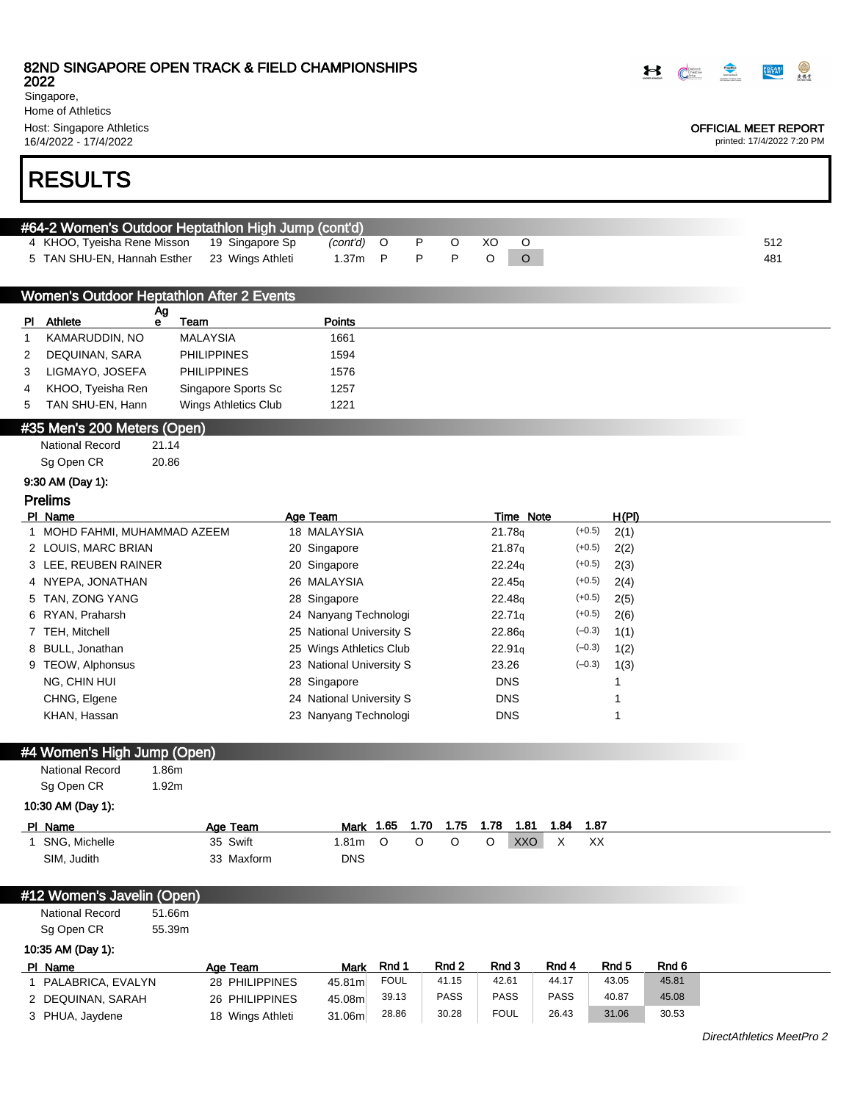2022

Singapore, Home of Athletics Host: Singapore Athletics

16/4/2022 - 17/4/2022

# RESULTS

| #64-2 Women's Outdoor Heptathlon High Jump (cont'd) |                          |  |  |  |     |
|-----------------------------------------------------|--------------------------|--|--|--|-----|
| 4 KHOO, Tyeisha Rene Misson 19 Singapore Sp         | <i>(cont'd)</i> O P O XO |  |  |  | 512 |
| 5 TAN SHU-EN, Hannah Esther 23 Wings Athleti        | 1.37m P P P O $\Omega$   |  |  |  | 481 |

|     |                   |    | Women's Outdoor Heptathlon After 2 Events |               |
|-----|-------------------|----|-------------------------------------------|---------------|
| PI. | Athlete           | Αg | Team                                      | <b>Points</b> |
|     |                   | е  |                                           |               |
|     | KAMARUDDIN, NO    |    | MALAYSIA                                  | 1661          |
| 2   | DEQUINAN, SARA    |    | <b>PHILIPPINES</b>                        | 1594          |
| 3   | LIGMAYO, JOSEFA   |    | <b>PHILIPPINES</b>                        | 1576          |
| 4   | KHOO, Tyeisha Ren |    | Singapore Sports Sc                       | 1257          |
| 5   | TAN SHU-EN, Hann  |    | Wings Athletics Club                      | 1221          |

#### #35 Men's 200 Meters (Open)

| <b>National Record</b> | 21.14 |
|------------------------|-------|
| Sg Open CR             | 20.86 |

### 9:30 AM (Day 1):

### Prelims

| PI Name                      | Age Team                 | Time Note                      | H(PI) |
|------------------------------|--------------------------|--------------------------------|-------|
| 1 MOHD FAHMI. MUHAMMAD AZEEM | 18 MALAYSIA              | $(+0.5)$<br>21.78 <sub>g</sub> | 2(1)  |
| 2 LOUIS, MARC BRIAN          | 20 Singapore             | $(+0.5)$<br>21.87 <sub>g</sub> | 2(2)  |
| 3 LEE, REUBEN RAINER         | 20 Singapore             | $(+0.5)$<br>22.24q             | 2(3)  |
| 4 NYEPA, JONATHAN            | 26 MALAYSIA              | $(+0.5)$<br>22.45q             | 2(4)  |
| 5 TAN, ZONG YANG             | 28 Singapore             | $(+0.5)$<br>22.48 <sub>9</sub> | 2(5)  |
| 6 RYAN, Praharsh             | 24 Nanyang Technologi    | $(+0.5)$<br>22.71a             | 2(6)  |
| 7 TEH, Mitchell              | 25 National University S | $(-0.3)$<br>22.86 <sub>g</sub> | 1(1)  |
| 8 BULL, Jonathan             | 25 Wings Athletics Club  | $(-0.3)$<br>22.91q             | 1(2)  |
| 9 TEOW, Alphonsus            | 23 National University S | $(-0.3)$<br>23.26              | 1(3)  |
| NG, CHIN HUI                 | 28 Singapore             | <b>DNS</b>                     |       |
| CHNG, Elgene                 | 24 National University S | <b>DNS</b>                     |       |
| KHAN, Hassan                 | 23 Nanyang Technologi    | <b>DNS</b>                     |       |

## #4 Women's High Jump (Open)

National Record 1.86m Sg Open CR 1.92m

### 10:30 AM (Day 1):

| PI Name         | Age Team   | Mark       | 1.65 | 1.70 | 1.75 | 1.78 | 1.81 | 1.84 | 1.87 |  |  |
|-----------------|------------|------------|------|------|------|------|------|------|------|--|--|
| 1 SNG, Michelle | 35 Swift   | .81m       |      |      |      |      | XXO  |      | ХX   |  |  |
| SIM, Judith     | 33 Maxform | <b>DNS</b> |      |      |      |      |      |      |      |  |  |

## #12 Women's Javelin (Open)

National Record 51.66m

Sg Open CR 55.39m 10:35 AM (Day 1):

| 10:35 AM (Day 1): |  |
|-------------------|--|
|-------------------|--|

| PI Name           | Age Team         | Mark    | Rnd 1 | Rnd 2 | Rnd 3       | Rnd 4 | Rnd 5 | Rnd 6 |
|-------------------|------------------|---------|-------|-------|-------------|-------|-------|-------|
| PALABRICA. EVALYN | 28 PHILIPPINES   | 45.81ml | FOUL  | 41.15 | 42.61       | 44.17 | 43.05 | 45.81 |
| 2 DEQUINAN, SARAH | 26 PHILIPPINES   | 45.08m  | 39.13 | PASS  | PASS        | PASS  | 40.87 | 45.08 |
| 3 PHUA, Jaydene   | 18 Wings Athleti | 31.06m  | 28.86 | 30.28 | <b>FOUL</b> | 26.43 | 31.06 | 30.53 |



### OFFICIAL MEET REPORT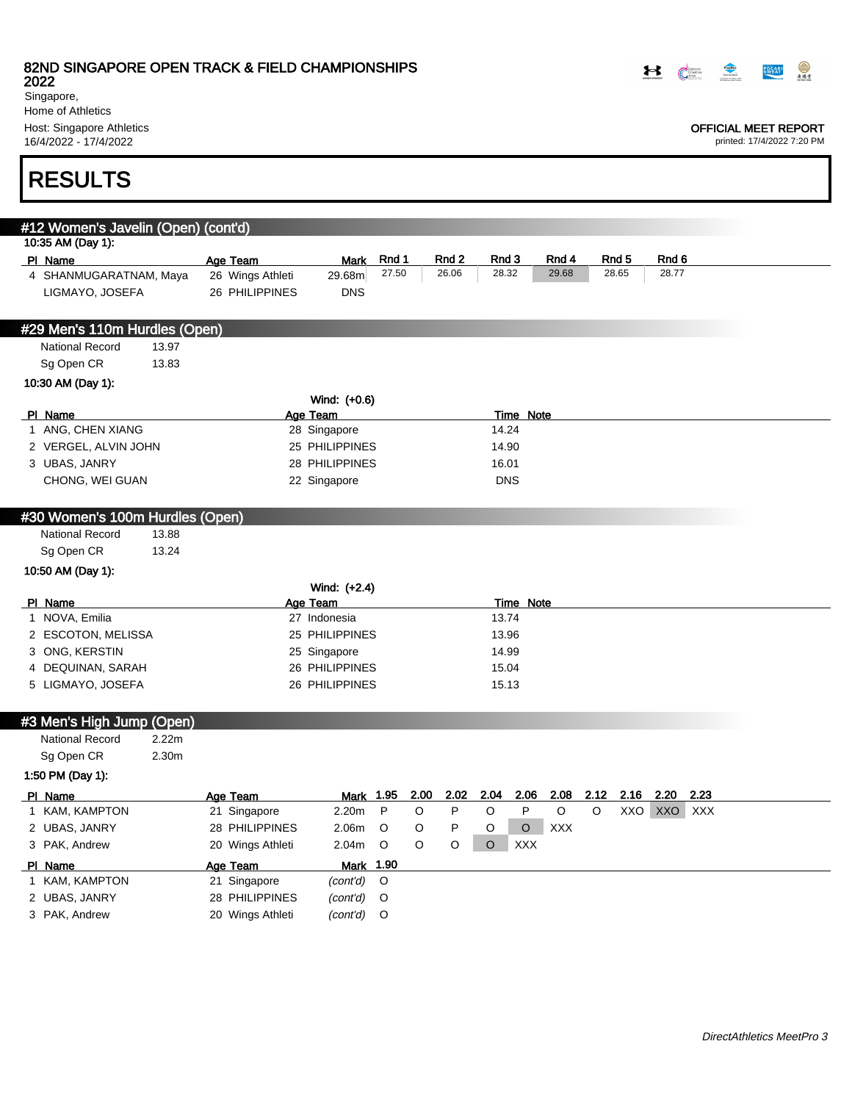2022 Singapore, Home of Athletics Host: Singapore Athletics

16/4/2022 - 17/4/2022

# RESULTS

| #12 Women's Javelin (Open) (cont'd)        |       |                                |                      |         |      |                  |            |                  |            |         |       |             |      |
|--------------------------------------------|-------|--------------------------------|----------------------|---------|------|------------------|------------|------------------|------------|---------|-------|-------------|------|
| 10:35 AM (Day 1):                          |       |                                |                      |         |      |                  |            |                  |            |         |       |             |      |
| PI Name                                    |       | Age Team                       | <b>Mark</b>          | Rnd 1   |      | Rnd <sub>2</sub> | Rnd 3      |                  | Rnd 4      |         | Rnd 5 | Rnd 6       |      |
| 4 SHANMUGARATNAM, Maya                     |       | 26 Wings Athleti               | 29.68m               | 27.50   |      | 26.06            | 28.32      |                  | 29.68      |         | 28.65 | 28.77       |      |
| LIGMAYO, JOSEFA                            |       | 26 PHILIPPINES                 | <b>DNS</b>           |         |      |                  |            |                  |            |         |       |             |      |
|                                            |       |                                |                      |         |      |                  |            |                  |            |         |       |             |      |
| #29 Men's 110m Hurdles (Open)              |       |                                |                      |         |      |                  |            |                  |            |         |       |             |      |
| <b>National Record</b>                     | 13.97 |                                |                      |         |      |                  |            |                  |            |         |       |             |      |
| Sg Open CR                                 | 13.83 |                                |                      |         |      |                  |            |                  |            |         |       |             |      |
| 10:30 AM (Day 1):                          |       |                                |                      |         |      |                  |            |                  |            |         |       |             |      |
|                                            |       |                                | Wind: (+0.6)         |         |      |                  |            |                  |            |         |       |             |      |
| PI Name                                    |       |                                | Age Team             |         |      |                  |            | <b>Time Note</b> |            |         |       |             |      |
| 1 ANG, CHEN XIANG                          |       |                                | 28 Singapore         |         |      |                  | 14.24      |                  |            |         |       |             |      |
| 2 VERGEL, ALVIN JOHN                       |       |                                | 25 PHILIPPINES       |         |      |                  | 14.90      |                  |            |         |       |             |      |
| 3 UBAS, JANRY                              |       |                                | 28 PHILIPPINES       |         |      |                  | 16.01      |                  |            |         |       |             |      |
| CHONG, WEI GUAN                            |       |                                | 22 Singapore         |         |      |                  | <b>DNS</b> |                  |            |         |       |             |      |
|                                            |       |                                |                      |         |      |                  |            |                  |            |         |       |             |      |
| #30 Women's 100m Hurdles (Open)            |       |                                |                      |         |      |                  |            |                  |            |         |       |             |      |
| <b>National Record</b>                     | 13.88 |                                |                      |         |      |                  |            |                  |            |         |       |             |      |
| Sg Open CR                                 | 13.24 |                                |                      |         |      |                  |            |                  |            |         |       |             |      |
| 10:50 AM (Day 1):                          |       |                                |                      |         |      |                  |            |                  |            |         |       |             |      |
|                                            |       |                                | Wind: (+2.4)         |         |      |                  |            |                  |            |         |       |             |      |
| PI Name                                    |       |                                | Age Team             |         |      |                  |            | <b>Time Note</b> |            |         |       |             |      |
| 1 NOVA, Emilia                             |       |                                | 27 Indonesia         |         |      |                  | 13.74      |                  |            |         |       |             |      |
| 2 ESCOTON, MELISSA                         |       |                                | 25 PHILIPPINES       |         |      |                  | 13.96      |                  |            |         |       |             |      |
| 3 ONG, KERSTIN                             |       |                                | 25 Singapore         |         |      |                  | 14.99      |                  |            |         |       |             |      |
| 4 DEQUINAN, SARAH                          |       |                                | 26 PHILIPPINES       |         |      |                  | 15.04      |                  |            |         |       |             |      |
| 5 LIGMAYO, JOSEFA                          |       |                                | 26 PHILIPPINES       |         |      |                  | 15.13      |                  |            |         |       |             |      |
|                                            |       |                                |                      |         |      |                  |            |                  |            |         |       |             |      |
|                                            |       |                                |                      |         |      |                  |            |                  |            |         |       |             |      |
|                                            |       |                                |                      |         |      |                  |            |                  |            |         |       |             |      |
| National Record                            | 2.22m |                                |                      |         |      |                  |            |                  |            |         |       |             |      |
| Sg Open CR                                 | 2.30m |                                |                      |         |      |                  |            |                  |            |         |       |             |      |
| 1:50 PM (Day 1):                           |       |                                |                      |         |      |                  |            |                  |            |         |       |             |      |
| PI Name                                    |       |                                | Mark 1.95            |         | 2.00 | 2.02             | 2.04       | 2.06             | 2.08       | 2.12    | 2.16  | 2.20        | 2.23 |
| 1 KAM, KAMPTON                             |       | Age Team<br>21 Singapore       | 2.20m                | P       | O    | P                | O          | ${\sf P}$        | $\circ$    | $\circ$ |       | XXO XXO XXX |      |
| 2 UBAS, JANRY                              |       | 28 PHILIPPINES                 | 2.06m                | $\circ$ | O    | P                | O          | $\circ$          | <b>XXX</b> |         |       |             |      |
| 3 PAK, Andrew                              |       | 20 Wings Athleti               | 2.04m                | O       | O    | O                | O          | <b>XXX</b>       |            |         |       |             |      |
| PI Name                                    |       |                                | Mark                 | 1.90    |      |                  |            |                  |            |         |       |             |      |
| 1 KAM, KAMPTON                             |       | Age Team                       |                      | O       |      |                  |            |                  |            |         |       |             |      |
| #3 Men's High Jump (Open)<br>2 UBAS, JANRY |       | 21 Singapore<br>28 PHILIPPINES | (cont'd)<br>(cont'd) | O       |      |                  |            |                  |            |         |       |             |      |
| 3 PAK, Andrew                              |       | 20 Wings Athleti               | (cont'd)             | O       |      |                  |            |                  |            |         |       |             |      |



### OFFICIAL MEET REPORT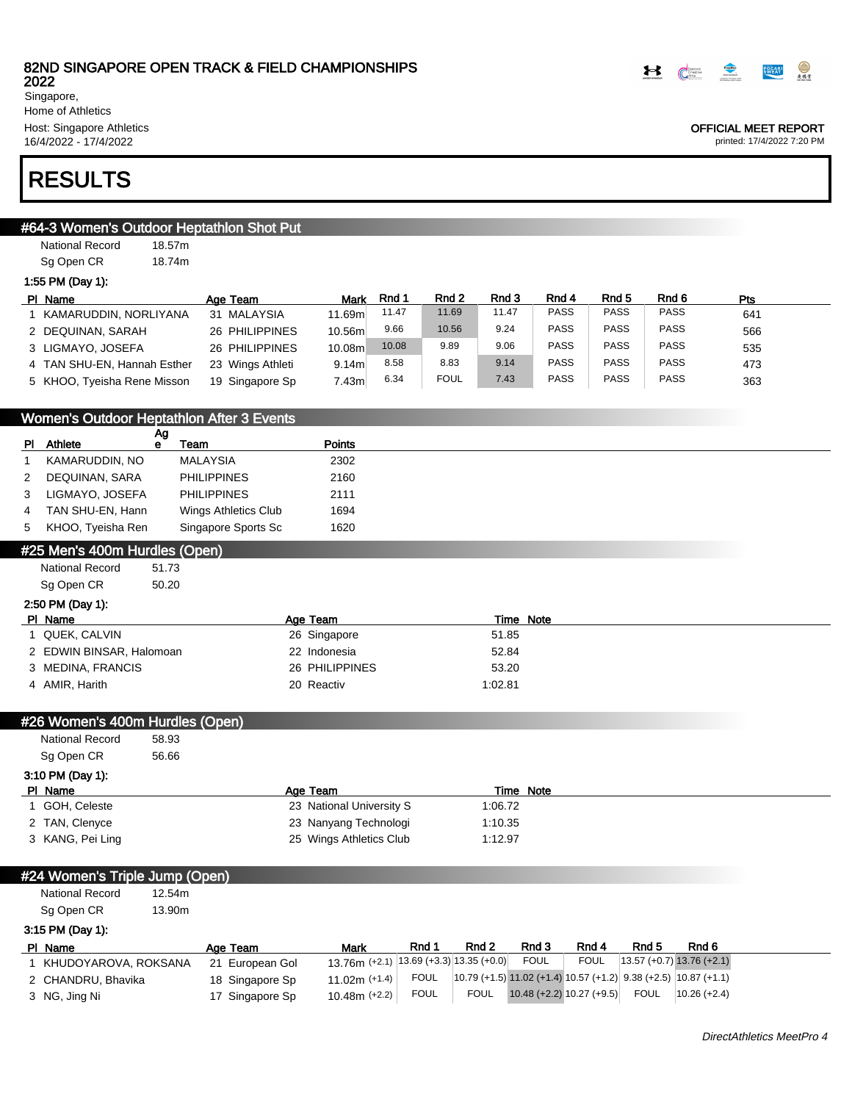

OFFICIAL MEET REPORT printed: 17/4/2022 7:20 PM

2022 Singapore, Home of Athletics Host: Singapore Athletics 16/4/2022 - 17/4/2022

## RESULTS

## #64-3 Women's Outdoor Heptathlon Shot Put

National Record 18.57m Sg Open CR 18.74m 1:55 PM (Day 1):

| PI Name                     | Age Team         | <b>Mark</b> | Rnd 1 | Rnd 2       | Rnd 3 | Rnd 4       | Rnd 5       | Rnd 6       | Pts |
|-----------------------------|------------------|-------------|-------|-------------|-------|-------------|-------------|-------------|-----|
| KAMARUDDIN. NORLIYANA       | 31 MALAYSIA      | 11.69m      | 11.47 | 11.69       | 11.47 | <b>PASS</b> | <b>PASS</b> | <b>PASS</b> | 641 |
| 2 DEQUINAN, SARAH           | 26 PHILIPPINES   | 10.56m      | 9.66  | 10.56       | 9.24  | PASS        | PASS        | <b>PASS</b> | 566 |
| 3 LIGMAYO, JOSEFA           | 26 PHILIPPINES   | 10.08m      | 10.08 | 9.89        | 9.06  | PASS        | <b>PASS</b> | <b>PASS</b> | 535 |
| 4 TAN SHU-EN, Hannah Esther | 23 Wings Athleti | 9.14m       | 8.58  | 8.83        | 9.14  | <b>PASS</b> | <b>PASS</b> | <b>PASS</b> | 473 |
| 5 KHOO, Tyeisha Rene Misson | 19 Singapore Sp  | 7.43m       | 6.34  | <b>FOUL</b> | 7.43  | <b>PASS</b> | PASS        | <b>PASS</b> | 363 |

### Women's Outdoor Heptathlon After 3 Events

|                |                   | Ag |                      |               |
|----------------|-------------------|----|----------------------|---------------|
| PI.            | Athlete           | е  | Team                 | <b>Points</b> |
|                | KAMARUDDIN, NO    |    | MALAYSIA             | 2302          |
| 2              | DEQUINAN, SARA    |    | <b>PHILIPPINES</b>   | 2160          |
| 3              | LIGMAYO, JOSEFA   |    | <b>PHILIPPINES</b>   | 2111          |
| $\overline{4}$ | TAN SHU-EN, Hann  |    | Wings Athletics Club | 1694          |
| 5              | KHOO, Tyeisha Ren |    | Singapore Sports Sc  | 1620          |

### #25 Men's 400m Hurdles (Open)

National Record 51.73 Sg Open CR 50.20

### 2:50 PM (Day 1):

| PI Name                  | Age Team       | Time Note |
|--------------------------|----------------|-----------|
| QUEK. CALVIN             | 26 Singapore   | 51.85     |
| 2 EDWIN BINSAR, Halomoan | 22 Indonesia   | 52.84     |
| 3 MEDINA, FRANCIS        | 26 PHILIPPINES | 53.20     |
| 4 AMIR, Harith           | 20 Reactiv     | 1:02.81   |

#### #26 Women's 400m Hurdles (Open)

| <b>National Record</b> | 58.93 |                          |           |  |
|------------------------|-------|--------------------------|-----------|--|
| Sg Open CR             | 56.66 |                          |           |  |
| 3:10 PM (Day 1):       |       |                          |           |  |
| PI Name                |       | Age Team                 | Time Note |  |
| 1 GOH, Celeste         |       | 23 National University S | 1:06.72   |  |
| 2 TAN, Clenyce         |       | 23 Nanyang Technologi    | 1:10.35   |  |
| 3 KANG, Pei Ling       |       | 25 Wings Athletics Club  | 1:12.97   |  |

### #24 Women's Triple Jump (Open)

National Record 12.54m Sg Open CR 13.90m

### 3:15 PM (Day 1):

| PI Name              | Age Team        | Mark                                     | Rnd :       | Rnd 2 | Rnd 3                       | Rnd 4       | Rnd 5 | Rnd 6                                                             |  |
|----------------------|-----------------|------------------------------------------|-------------|-------|-----------------------------|-------------|-------|-------------------------------------------------------------------|--|
| KHUDOYAROVA, ROKSANA | 21 European Gol | 13.76m (+2.1)  13.69 (+3.3) 13.35 (+0.0) |             |       | <b>FOUL</b>                 | <b>FOUL</b> |       | $13.57 (+0.7) 13.76 (+2.1)$                                       |  |
| 2 CHANDRU, Bhavika   | 18 Singapore Sp | $11.02m$ (+1.4)                          | FOUL        |       |                             |             |       | $10.79 (+1.5) 11.02 (+1.4) 10.57 (+1.2) 9.38 (+2.5) 10.87 (+1.1)$ |  |
| 3 NG, Jing Ni        | 17 Singapore Sp | $10.48m (+2.2)$                          | <b>FOUL</b> | FOUL  | $10.48 (+2.2) 10.27 (+9.5)$ |             | FOUL  | $10.26(+2.4)$                                                     |  |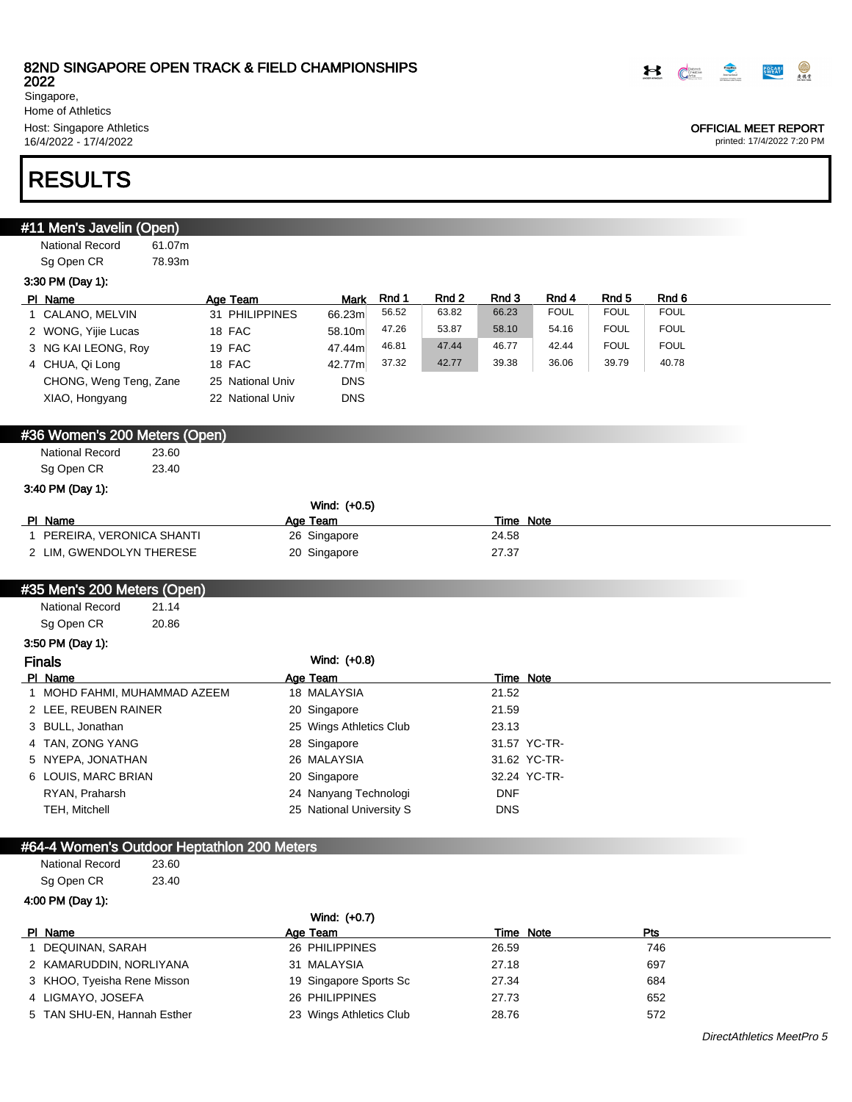

Singapore, Home of Athletics Host: Singapore Athletics

16/4/2022 - 17/4/2022

# RESULTS

| #11 Men's Javelin (Open)                    |                  |                          |       |       |                    |             |             |                      |
|---------------------------------------------|------------------|--------------------------|-------|-------|--------------------|-------------|-------------|----------------------|
| National Record<br>61.07m                   |                  |                          |       |       |                    |             |             |                      |
| Sg Open CR<br>78.93m                        |                  |                          |       |       |                    |             |             |                      |
| 3:30 PM (Day 1):                            |                  |                          |       |       |                    |             |             |                      |
| PI Name                                     | Age Team         | Mark                     | Rnd 1 | Rnd 2 | Rnd 3              | Rnd 4       | Rnd 5       | Rnd 6                |
| 1 CALANO, MELVIN                            | 31 PHILIPPINES   | 66.23m                   | 56.52 | 63.82 | 66.23              | <b>FOUL</b> | <b>FOUL</b> | <b>FOUL</b>          |
| 2 WONG, Yijie Lucas                         | 18 FAC           | 58.10m                   | 47.26 | 53.87 | 58.10              | 54.16       | <b>FOUL</b> | <b>FOUL</b>          |
| 3 NG KAI LEONG, Roy                         | 19 FAC           | 47.44m                   | 46.81 | 47.44 | 46.77              | 42.44       | <b>FOUL</b> | <b>FOUL</b><br>40.78 |
| 4 CHUA, Qi Long                             | 18 FAC           | 42.77m                   | 37.32 | 42.77 | 39.38              | 36.06       | 39.79       |                      |
| CHONG, Weng Teng, Zane                      | 25 National Univ | <b>DNS</b>               |       |       |                    |             |             |                      |
| XIAO, Hongyang                              | 22 National Univ | <b>DNS</b>               |       |       |                    |             |             |                      |
|                                             |                  |                          |       |       |                    |             |             |                      |
| #36 Women's 200 Meters (Open)               |                  |                          |       |       |                    |             |             |                      |
| <b>National Record</b><br>23.60             |                  |                          |       |       |                    |             |             |                      |
| Sg Open CR<br>23.40                         |                  |                          |       |       |                    |             |             |                      |
| 3:40 PM (Day 1):                            |                  |                          |       |       |                    |             |             |                      |
|                                             |                  | Wind: (+0.5)             |       |       |                    |             |             |                      |
| PI Name<br>1 PEREIRA, VERONICA SHANTI       |                  | Age Team<br>26 Singapore |       |       | Time Note<br>24.58 |             |             |                      |
| 2 LIM, GWENDOLYN THERESE                    |                  | 20 Singapore             |       |       | 27.37              |             |             |                      |
|                                             |                  |                          |       |       |                    |             |             |                      |
| #35 Men's 200 Meters (Open)                 |                  |                          |       |       |                    |             |             |                      |
| <b>National Record</b><br>21.14             |                  |                          |       |       |                    |             |             |                      |
| 20.86<br>Sg Open CR                         |                  |                          |       |       |                    |             |             |                      |
| 3:50 PM (Day 1):                            |                  |                          |       |       |                    |             |             |                      |
| <b>Finals</b>                               |                  | Wind: (+0.8)             |       |       |                    |             |             |                      |
| PI Name                                     |                  | Age Team                 |       |       | Time Note          |             |             |                      |
| 1 MOHD FAHMI, MUHAMMAD AZEEM                |                  | 18 MALAYSIA              |       |       | 21.52              |             |             |                      |
| 2 LEE, REUBEN RAINER                        |                  | 20 Singapore             |       |       | 21.59              |             |             |                      |
| 3 BULL, Jonathan                            |                  | 25 Wings Athletics Club  |       |       | 23.13              |             |             |                      |
| 4 TAN, ZONG YANG                            |                  | 28 Singapore             |       |       | 31.57 YC-TR-       |             |             |                      |
| 5 NYEPA, JONATHAN                           |                  | 26 MALAYSIA              |       |       | 31.62 YC-TR-       |             |             |                      |
| 6 LOUIS, MARC BRIAN                         |                  | 20 Singapore             |       |       | 32.24 YC-TR-       |             |             |                      |
| RYAN, Praharsh                              |                  | 24 Nanyang Technologi    |       |       | <b>DNF</b>         |             |             |                      |
| TEH, Mitchell                               |                  | 25 National University S |       |       | <b>DNS</b>         |             |             |                      |
|                                             |                  |                          |       |       |                    |             |             |                      |
| #64-4 Women's Outdoor Heptathlon 200 Meters |                  |                          |       |       |                    |             |             |                      |
| <b>National Record</b><br>23.60             |                  |                          |       |       |                    |             |             |                      |
| Sg Open CR<br>23.40                         |                  |                          |       |       |                    |             |             |                      |
| 4:00 PM (Day 1):                            |                  |                          |       |       |                    |             |             |                      |
|                                             |                  | Wind: (+0.7)             |       |       |                    |             |             |                      |
| PI Name                                     |                  | Age Team                 |       |       | Time Note          |             |             | <u>Pts</u>           |
| 1 DEQUINAN, SARAH                           |                  | 26 PHILIPPINES           |       |       | 26.59              |             |             | 746                  |
| 2 KAMARUDDIN, NORLIYANA                     |                  | 31 MALAYSIA              |       |       | 27.18              |             |             | 697                  |
| 3 KHOO, Tyeisha Rene Misson                 |                  | 19 Singapore Sports Sc   |       |       | 27.34              |             |             | 684                  |
| 4 LIGMAYO, JOSEFA                           |                  | 26 PHILIPPINES           |       |       | 27.73              |             |             | 652                  |

5 TAN SHU-EN, Hannah Esther 23 Wings Athletics Club 28.76 572



#### OFFICIAL MEET REPORT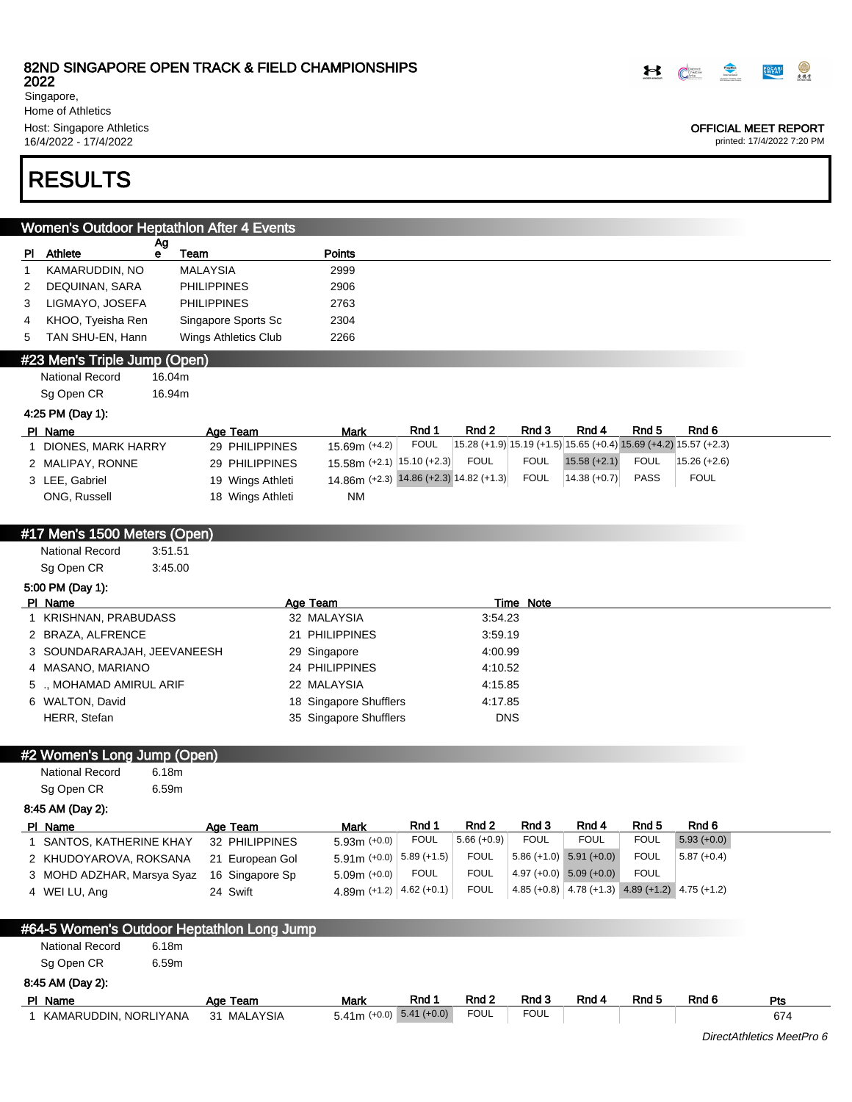2022 Singapore, Home of Athletics Host: Singapore Athletics

16/4/2022 - 17/4/2022

# RESULTS

|              | Women's Outdoor Heptathlon After 4 Events  |                      |                                             |             |                      |                      |                                                    |             |                                                                  |
|--------------|--------------------------------------------|----------------------|---------------------------------------------|-------------|----------------------|----------------------|----------------------------------------------------|-------------|------------------------------------------------------------------|
|              | Ag<br>PI Athlete<br>е                      | Team                 | Points                                      |             |                      |                      |                                                    |             |                                                                  |
| $\mathbf{1}$ | KAMARUDDIN, NO                             | <b>MALAYSIA</b>      | 2999                                        |             |                      |                      |                                                    |             |                                                                  |
| 2            | DEQUINAN, SARA                             | <b>PHILIPPINES</b>   | 2906                                        |             |                      |                      |                                                    |             |                                                                  |
| 3            | LIGMAYO, JOSEFA                            | <b>PHILIPPINES</b>   | 2763                                        |             |                      |                      |                                                    |             |                                                                  |
| 4            | KHOO, Tyeisha Ren                          | Singapore Sports Sc  | 2304                                        |             |                      |                      |                                                    |             |                                                                  |
| 5            | TAN SHU-EN, Hann                           | Wings Athletics Club | 2266                                        |             |                      |                      |                                                    |             |                                                                  |
|              | #23 Men's Triple Jump (Open)               |                      |                                             |             |                      |                      |                                                    |             |                                                                  |
|              | <b>National Record</b><br>16.04m           |                      |                                             |             |                      |                      |                                                    |             |                                                                  |
|              | Sg Open CR<br>16.94m                       |                      |                                             |             |                      |                      |                                                    |             |                                                                  |
|              | 4:25 PM (Day 1):                           |                      |                                             |             |                      |                      |                                                    |             |                                                                  |
|              | PI Name                                    | Age Team             | <b>Mark</b>                                 | Rnd 1       | Rnd 2                | Rnd 3                | Rnd 4                                              | Rnd 5       | Rnd <sub>6</sub>                                                 |
|              | 1 DIONES, MARK HARRY                       | 29 PHILIPPINES       | 15.69m (+4.2)                               | <b>FOUL</b> |                      |                      |                                                    |             | 15.28 (+1.9) 15.19 (+1.5) 15.65 (+0.4) 15.69 (+4.2) 15.57 (+2.3) |
|              | 2 MALIPAY, RONNE                           | 29 PHILIPPINES       | 15.58m (+2.1) 15.10 (+2.3)                  |             | <b>FOUL</b>          | <b>FOUL</b>          | $15.58 (+2.1)$                                     | <b>FOUL</b> | $15.26 (+2.6)$                                                   |
|              | 3 LEE, Gabriel                             | 19 Wings Athleti     | 14.86m (+2.3) 14.86 (+2.3) 14.82 (+1.3)     |             |                      | <b>FOUL</b>          | $14.38 (+0.7)$                                     | <b>PASS</b> | <b>FOUL</b>                                                      |
|              | ONG, Russell                               | 18 Wings Athleti     | <b>NM</b>                                   |             |                      |                      |                                                    |             |                                                                  |
|              |                                            |                      |                                             |             |                      |                      |                                                    |             |                                                                  |
|              | #17 Men's 1500 Meters (Open)               |                      |                                             |             |                      |                      |                                                    |             |                                                                  |
|              | <b>National Record</b><br>3:51.51          |                      |                                             |             |                      |                      |                                                    |             |                                                                  |
|              | Sg Open CR<br>3:45.00                      |                      |                                             |             |                      |                      |                                                    |             |                                                                  |
|              | 5:00 PM (Day 1):                           |                      |                                             |             |                      |                      |                                                    |             |                                                                  |
|              | PI Name                                    |                      | Age Team                                    |             |                      | <b>Time Note</b>     |                                                    |             |                                                                  |
|              | 1 KRISHNAN, PRABUDASS                      |                      | 32 MALAYSIA                                 |             | 3:54.23              |                      |                                                    |             |                                                                  |
|              | 2 BRAZA, ALFRENCE                          |                      | 21 PHILIPPINES                              |             | 3:59.19              |                      |                                                    |             |                                                                  |
|              | 3 SOUNDARARAJAH, JEEVANEESH                |                      | 29 Singapore                                |             | 4:00.99              |                      |                                                    |             |                                                                  |
|              | 4 MASANO, MARIANO                          |                      | 24 PHILIPPINES                              |             | 4:10.52              |                      |                                                    |             |                                                                  |
|              | 5 ., MOHAMAD AMIRUL ARIF                   |                      | 22 MALAYSIA                                 |             | 4:15.85              |                      |                                                    |             |                                                                  |
|              | 6 WALTON, David                            |                      | 18 Singapore Shufflers                      |             | 4:17.85              |                      |                                                    |             |                                                                  |
|              | HERR, Stefan                               |                      | 35 Singapore Shufflers                      |             |                      | <b>DNS</b>           |                                                    |             |                                                                  |
|              |                                            |                      |                                             |             |                      |                      |                                                    |             |                                                                  |
|              | #2 Women's Long Jump (Open)                |                      |                                             |             |                      |                      |                                                    |             |                                                                  |
|              | <b>National Record</b><br>6.18m            |                      |                                             |             |                      |                      |                                                    |             |                                                                  |
|              | Sg Open CR<br>6.59m                        |                      |                                             |             |                      |                      |                                                    |             |                                                                  |
|              | 8:45 AM (Day 2):                           |                      |                                             |             |                      |                      |                                                    |             |                                                                  |
|              | PI Name                                    | Age Team             | Mark                                        | Rnd 1       | Rnd 2                | Rnd 3                | Rnd 4                                              | Rnd 5       | Rnd 6                                                            |
|              | SANTOS, KATHERINE KHAY                     | 32 PHILIPPINES       | $5.93m (+0.0)$                              | <b>FOUL</b> | $5.66 (+0.9)$        | <b>FOUL</b>          | <b>FOUL</b>                                        | <b>FOUL</b> | $5.93 (+0.0)$                                                    |
|              | 2 KHUDOYAROVA, ROKSANA                     | 21 European Gol      | 5.91m $(+0.0)$ 5.89 $(+1.5)$                |             | <b>FOUL</b>          |                      | $5.86 (+1.0) 5.91 (+0.0)$                          | <b>FOUL</b> | $5.87 (+0.4)$                                                    |
|              | 3 MOHD ADZHAR, Marsya Syaz                 | 16 Singapore Sp      | $5.09m (+0.0)$                              | <b>FOUL</b> | <b>FOUL</b>          |                      | $4.97 (+0.0) 5.09 (+0.0)$                          | <b>FOUL</b> |                                                                  |
|              | 4 WEI LU, Ang                              | 24 Swift             | 4.89m (+1.2) $ 4.62$ (+0.1)                 |             | <b>FOUL</b>          |                      | 4.85 (+0.8) $ 4.78$ (+1.3) 4.89 (+1.2) 4.75 (+1.2) |             |                                                                  |
|              |                                            |                      |                                             |             |                      |                      |                                                    |             |                                                                  |
|              | #64-5 Women's Outdoor Heptathlon Long Jump |                      |                                             |             |                      |                      |                                                    |             |                                                                  |
|              | National Record<br>6.18m                   |                      |                                             |             |                      |                      |                                                    |             |                                                                  |
|              | Sg Open CR<br>6.59m                        |                      |                                             |             |                      |                      |                                                    |             |                                                                  |
|              |                                            |                      |                                             |             |                      |                      |                                                    |             |                                                                  |
|              | 8:45 AM (Day 2):                           |                      |                                             |             |                      |                      |                                                    |             |                                                                  |
|              | PI Name                                    | Age Team             | <b>Mark</b><br>$5.41m (+0.0)$ $5.41 (+0.0)$ | Rnd 1       | Rnd 2<br><b>FOUL</b> | Rnd 3<br><b>FOUL</b> | Rnd 4                                              | Rnd 5       | Rnd 6                                                            |
|              | 1 KAMARUDDIN, NORLIYANA                    | 31 MALAYSIA          |                                             |             |                      |                      |                                                    |             |                                                                  |

OFFICIAL MEET REPORT printed: 17/4/2022 7:20 PM

DirectAthletics MeetPro 6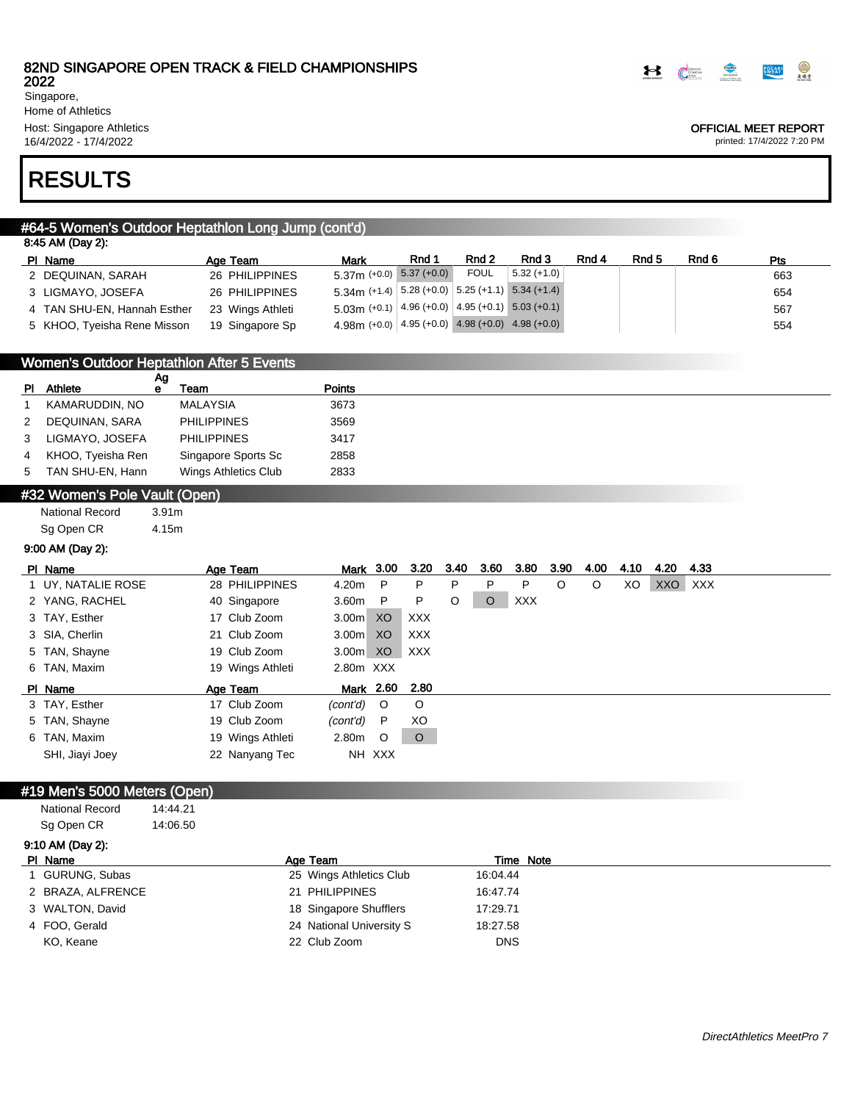2022 Singapore,

Home of Athletics Host: Singapore Athletics 16/4/2022 - 17/4/2022

OFFICIAL MEET REPORT

printed: 17/4/2022 7:20 PM

# RESULTS

## #64-5 Women's Outdoor Heptathlon Long Jump (cont'd)

| 8:45 AM (Day 2):            |                  |                                                                             |       |             |               |       |                  |       |     |  |  |  |  |
|-----------------------------|------------------|-----------------------------------------------------------------------------|-------|-------------|---------------|-------|------------------|-------|-----|--|--|--|--|
| PI Name                     | Age Team         | <b>Mark</b>                                                                 | Rnd 1 | Rnd 2       | Rnd 3         | Rnd 4 | Rnd <sub>5</sub> | Rnd 6 | Pts |  |  |  |  |
| 2 DEQUINAN, SARAH           | 26 PHILIPPINES   | $5.37m$ (+0.0) $5.37$ (+0.0)                                                |       | <b>FOUL</b> | $5.32 (+1.0)$ |       |                  |       | 663 |  |  |  |  |
| 3 LIGMAYO, JOSEFA           | 26 PHILIPPINES   | $5.34$ m (+1.4) $\vert 5.28$ (+0.0) $\vert 5.25$ (+1.1) $\vert 5.34$ (+1.4) |       |             |               |       |                  |       | 654 |  |  |  |  |
| 4 TAN SHU-EN, Hannah Esther | 23 Wings Athleti | $5.03\text{m}$ (+0.1) 4.96 (+0.0) 4.95 (+0.1) 5.03 (+0.1)                   |       |             |               |       |                  |       | 567 |  |  |  |  |
| 5 KHOO, Tyeisha Rene Misson | 19 Singapore Sp  | $4.98$ m (+0.0) 4.95 (+0.0) 4.98 (+0.0) 4.98 (+0.0)                         |       |             |               |       |                  |       | 554 |  |  |  |  |

| Women's Outdoor Heptathlon After 5 Events |    |  |
|-------------------------------------------|----|--|
|                                           | Aα |  |

| ΡI | Athlete           | Team                 | <b>Points</b> |
|----|-------------------|----------------------|---------------|
|    | KAMARUDDIN, NO    | MALAYSIA             | 3673          |
|    | DEQUINAN, SARA    | <b>PHILIPPINES</b>   | 3569          |
|    | LIGMAYO, JOSEFA   | <b>PHILIPPINES</b>   | 3417          |
|    | KHOO, Tyeisha Ren | Singapore Sports Sc  | 2858          |
| 5  | TAN SHU-EN, Hann  | Wings Athletics Club | 2833          |
|    | $\frac{1}{2}$     |                      |               |

## #32 Women's Pole Vault (Open)

National Record 3.91m Sg Open CR 4.15m

## 9:00 AM (Day 2):

| PI Name            | Age Team         |                   | Mark 3.00        | 3.20 3.40  |   | 3.60    | 3.80       | 3.90 | 4.00 | 4.10 | 4.20 | 4.33  |
|--------------------|------------------|-------------------|------------------|------------|---|---------|------------|------|------|------|------|-------|
| 1 UY, NATALIE ROSE | 28 PHILIPPINES   | 4.20m             | P                | P          | P | P       | P          | O    | O    | XO   | XXO  | XXX X |
| 2 YANG, RACHEL     | 40 Singapore     | 3.60 <sub>m</sub> | $\mathsf{P}$     | P          | O | $\circ$ | <b>XXX</b> |      |      |      |      |       |
| 3 TAY, Esther      | 17 Club Zoom     | 3.00m             | XO               | <b>XXX</b> |   |         |            |      |      |      |      |       |
| 3 SIA, Cherlin     | 21 Club Zoom     | 3.00 <sub>m</sub> | XO               | <b>XXX</b> |   |         |            |      |      |      |      |       |
| 5 TAN, Shayne      | 19 Club Zoom     | 3.00m XO          |                  | XXX        |   |         |            |      |      |      |      |       |
| 6 TAN, Maxim       | 19 Wings Athleti | 2.80m XXX         |                  |            |   |         |            |      |      |      |      |       |
| PI Name            | Age Team         |                   | <u>Mark</u> 2.60 | 2.80       |   |         |            |      |      |      |      |       |
| 3 TAY, Esther      | 17 Club Zoom     | (cont'd)          | $\circ$          | $\circ$    |   |         |            |      |      |      |      |       |
| 5 TAN, Shayne      | 19 Club Zoom     | (cont'd)          | P                | XO         |   |         |            |      |      |      |      |       |
| 6 TAN, Maxim       | 19 Wings Athleti | 2.80m             | $\circ$          | $\circ$    |   |         |            |      |      |      |      |       |
| SHI, Jiayi Joey    | 22 Nanyang Tec   |                   | NH XXX           |            |   |         |            |      |      |      |      |       |

### #19 Men's 5000 Meters (Open)

| National Record | 14:44.21 |
|-----------------|----------|
| Sg Open CR      | 14:06.50 |

| 9:10 AM (Day 2):  |                          |            |           |
|-------------------|--------------------------|------------|-----------|
| PI Name           | Age Team                 |            | Time Note |
| 1 GURUNG, Subas   | 25 Wings Athletics Club  | 16:04.44   |           |
| 2 BRAZA, ALFRENCE | 21 PHILIPPINES           | 16:47.74   |           |
| 3 WALTON, David   | 18 Singapore Shufflers   | 17:29.71   |           |
| 4 FOO, Gerald     | 24 National University S | 18:27.58   |           |
| KO, Keane         | 22 Club Zoom             | <b>DNS</b> |           |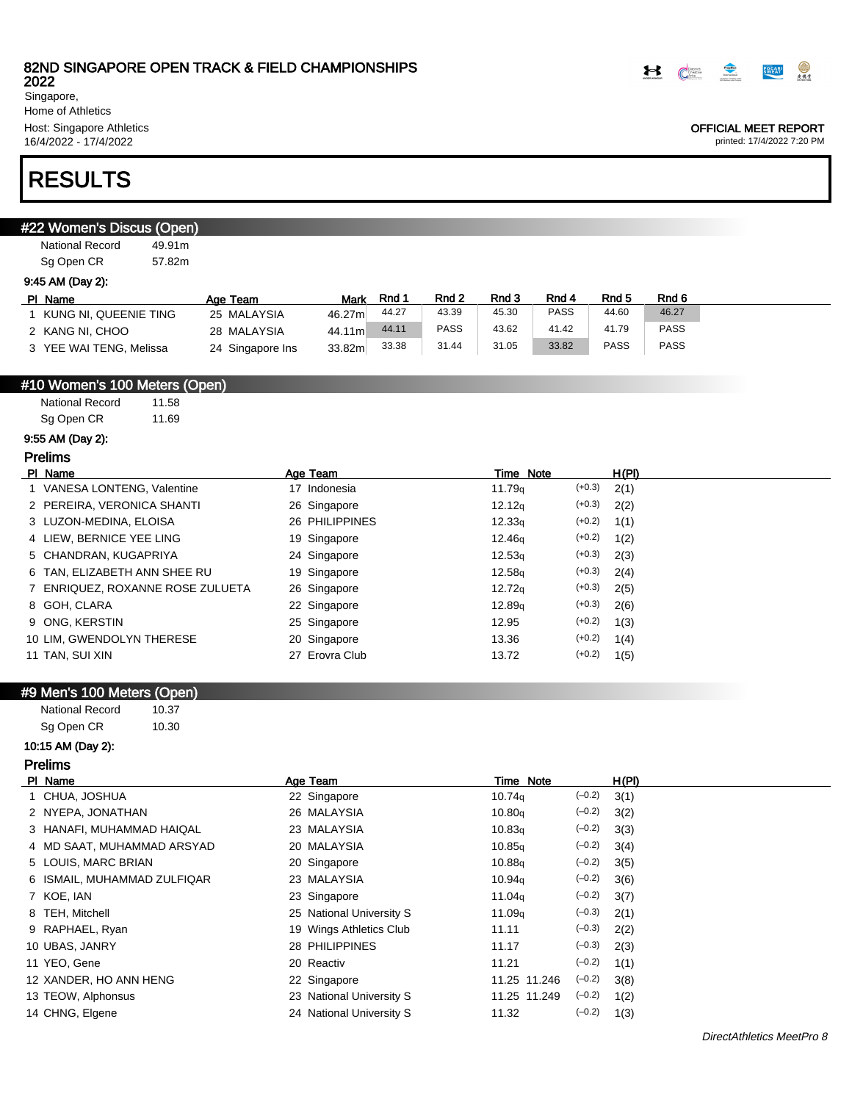

Singapore, Home of Athletics Host: Singapore Athletics

16/4/2022 - 17/4/2022

# RESULTS

| #22 Women's Discus (Open)        |                  |                          |       |             |                    |             |             |             |
|----------------------------------|------------------|--------------------------|-------|-------------|--------------------|-------------|-------------|-------------|
| <b>National Record</b><br>49.91m |                  |                          |       |             |                    |             |             |             |
| Sg Open CR<br>57.82m             |                  |                          |       |             |                    |             |             |             |
| 9:45 AM (Day 2):                 |                  |                          |       |             |                    |             |             |             |
| PI Name                          | Age Team         | Mark                     | Rnd 1 | Rnd 2       | Rnd 3              | Rnd 4       | Rnd 5       | Rnd 6       |
| 1 KUNG NI, QUEENIE TING          | 25 MALAYSIA      | 46.27m                   | 44.27 | 43.39       | 45.30              | <b>PASS</b> | 44.60       | 46.27       |
| 2 KANG NI, CHOO                  | 28 MALAYSIA      | 44.11m                   | 44.11 | <b>PASS</b> | 43.62              | 41.42       | 41.79       | <b>PASS</b> |
| 3 YEE WAI TENG, Melissa          | 24 Singapore Ins | 33.82m                   | 33.38 | 31.44       | 31.05              | 33.82       | <b>PASS</b> | <b>PASS</b> |
|                                  |                  |                          |       |             |                    |             |             |             |
| #10 Women's 100 Meters (Open)    |                  |                          |       |             |                    |             |             |             |
| <b>National Record</b><br>11.58  |                  |                          |       |             |                    |             |             |             |
| Sg Open CR<br>11.69              |                  |                          |       |             |                    |             |             |             |
| 9:55 AM (Day 2):                 |                  |                          |       |             |                    |             |             |             |
| <b>Prelims</b>                   |                  |                          |       |             |                    |             |             |             |
| PI Name                          |                  | Age Team                 |       |             | <b>Time Note</b>   |             | H(PI)       |             |
| 1 VANESA LONTENG, Valentine      |                  | 17 Indonesia             |       |             | 11.79 <sub>q</sub> | $(+0.3)$    | 2(1)        |             |
| 2 PEREIRA, VERONICA SHANTI       |                  | 26 Singapore             |       |             | 12.12q             | $(+0.3)$    | 2(2)        |             |
| 3 LUZON-MEDINA, ELOISA           |                  | 26 PHILIPPINES           |       |             | 12.33q             | $(+0.2)$    | 1(1)        |             |
| 4 LIEW, BERNICE YEE LING         |                  | 19 Singapore             |       |             | 12.46g             | $(+0.2)$    | 1(2)        |             |
| 5 CHANDRAN, KUGAPRIYA            |                  | 24 Singapore             |       |             | 12.53q             | $(+0.3)$    | 2(3)        |             |
| 6 TAN, ELIZABETH ANN SHEE RU     |                  | 19 Singapore             |       |             | 12.58q             | $(+0.3)$    | 2(4)        |             |
| 7 ENRIQUEZ, ROXANNE ROSE ZULUETA |                  | 26 Singapore             |       |             | 12.72q             | $(+0.3)$    | 2(5)        |             |
| 8 GOH, CLARA                     |                  | 22 Singapore             |       |             | 12.89 <sub>g</sub> | $(+0.3)$    | 2(6)        |             |
| 9 ONG, KERSTIN                   |                  | 25 Singapore             |       |             | 12.95              | $(+0.2)$    | 1(3)        |             |
| 10 LIM, GWENDOLYN THERESE        |                  | 20 Singapore             |       |             | 13.36              | $(+0.2)$    | 1(4)        |             |
| 11 TAN, SUI XIN                  |                  | 27 Erovra Club           |       |             | 13.72              | $(+0.2)$    | 1(5)        |             |
|                                  |                  |                          |       |             |                    |             |             |             |
| #9 Men's 100 Meters (Open)       |                  |                          |       |             |                    |             |             |             |
| <b>National Record</b><br>10.37  |                  |                          |       |             |                    |             |             |             |
| Sg Open CR<br>10.30              |                  |                          |       |             |                    |             |             |             |
| 10:15 AM (Day 2):                |                  |                          |       |             |                    |             |             |             |
| <b>Prelims</b>                   |                  |                          |       |             |                    |             |             |             |
| PI Name                          |                  | Age Team                 |       |             | <b>Time Note</b>   |             | H(PI)       |             |
| 1 CHUA, JOSHUA                   |                  | 22 Singapore             |       |             | 10.74q             | $(-0.2)$    | 3(1)        |             |
| 2 NYEPA, JONATHAN                |                  | 26 MALAYSIA              |       |             | 10.80q             | $(-0.2)$    | 3(2)        |             |
| 3 HANAFI, MUHAMMAD HAIQAL        |                  | 23 MALAYSIA              |       |             | 10.83q             | $(-0.2)$    | 3(3)        |             |
| 4 MD SAAT, MUHAMMAD ARSYAD       |                  | 20 MALAYSIA              |       |             | 10.85q             | $(-0.2)$    | 3(4)        |             |
| 5 LOUIS, MARC BRIAN              |                  | 20 Singapore             |       |             | 10.88q             | $(-0.2)$    | 3(5)        |             |
| 6 ISMAIL, MUHAMMAD ZULFIQAR      |                  | 23 MALAYSIA              |       |             | 10.94g             | $(-0.2)$    | 3(6)        |             |
| 7 KOE, IAN                       |                  | 23 Singapore             |       |             | 11.04g             | $(-0.2)$    | 3(7)        |             |
| 8 TEH, Mitchell                  |                  | 25 National University S |       |             | 11.09q             | $(-0.3)$    | 2(1)        |             |
| 9 RAPHAEL, Ryan                  |                  | 19 Wings Athletics Club  |       |             | 11.11              | $(-0.3)$    | 2(2)        |             |
| 10 UBAS, JANRY                   |                  | 28 PHILIPPINES           |       |             | 11.17              | $(-0.3)$    | 2(3)        |             |
| 11 YEO, Gene                     |                  | 20 Reactiv               |       |             | 11.21              | $(-0.2)$    | 1(1)        |             |

- 
- 12 XANDER, HO ANN HENG 22 Singapore 11.25 11.246 (-0.2) 3(8)
- 13 TEOW, Alphonsus 23 National University S 11.25 11.249 (-0.2) 1(2)
- 14 CHNG, Elgene 24 National University S 11.32 (–0.2) 1(3)

#### $\bigcirc$ **POCARI**

OFFICIAL MEET REPORT printed: 17/4/2022 7:20 PM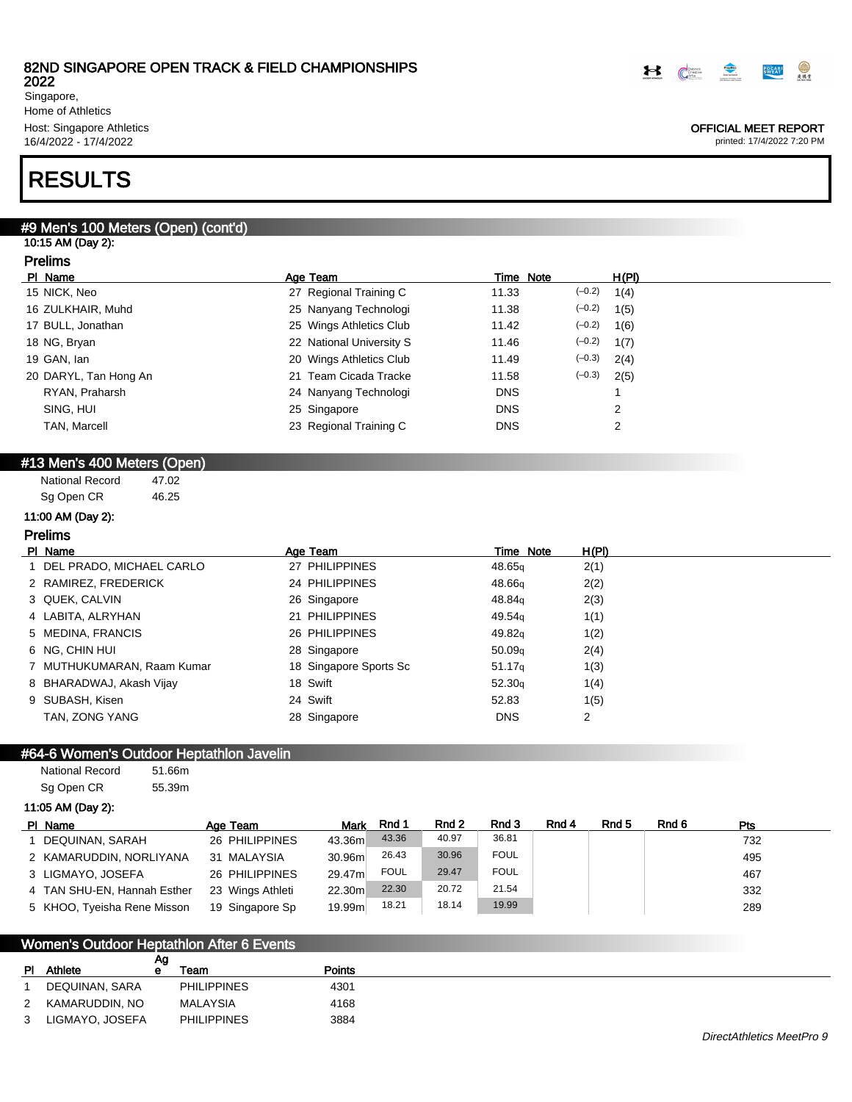2022 Singapore, Home of Athletics Host: Singapore Athletics 16/4/2022 - 17/4/2022

# RESULTS

## #9 Men's 100 Meters (Open) (cont'd)

### 10:15 AM (Day 2): Prelims

| PI Name               | Age Team                 | Time Note  | H(PI)            |
|-----------------------|--------------------------|------------|------------------|
| 15 NICK, Neo          | 27 Regional Training C   | 11.33      | $(-0.2)$<br>1(4) |
| 16 ZULKHAIR, Muhd     | 25 Nanyang Technologi    | 11.38      | $(-0.2)$<br>1(5) |
| 17 BULL, Jonathan     | 25 Wings Athletics Club  | 11.42      | $(-0.2)$<br>1(6) |
| 18 NG, Bryan          | 22 National University S | 11.46      | $(-0.2)$<br>1(7) |
| 19 GAN, lan           | 20 Wings Athletics Club  | 11.49      | $(-0.3)$<br>2(4) |
| 20 DARYL, Tan Hong An | 21 Team Cicada Tracke    | 11.58      | $(-0.3)$<br>2(5) |
| RYAN, Praharsh        | 24 Nanyang Technologi    | <b>DNS</b> |                  |
| SING, HUI             | 25 Singapore             | <b>DNS</b> | 2                |
| <b>TAN, Marcell</b>   | 23 Regional Training C   | <b>DNS</b> | 2                |
|                       |                          |            |                  |

## #13 Men's 400 Meters (Open)

| <b>National Record</b> | 47.02 |
|------------------------|-------|
| Sg Open CR             | 46.25 |

## 11:00 AM (Day 2):

## Prelims

| PI Name                    | Age Team               | Time Note          | H(PI) |
|----------------------------|------------------------|--------------------|-------|
| 1 DEL PRADO, MICHAEL CARLO | 27 PHILIPPINES         | 48.65 <sub>a</sub> | 2(1)  |
| 2 RAMIREZ, FREDERICK       | 24 PHILIPPINES         | 48.66 <sub>g</sub> | 2(2)  |
| 3 QUEK, CALVIN             | 26 Singapore           | 48.84 <sub>g</sub> | 2(3)  |
| 4 LABITA, ALRYHAN          | 21 PHILIPPINES         | 49.54 <sub>g</sub> | 1(1)  |
| 5 MEDINA, FRANCIS          | 26 PHILIPPINES         | 49.82 <sub>g</sub> | 1(2)  |
| 6 NG, CHIN HUI             | 28 Singapore           | 50.09 <sub>q</sub> | 2(4)  |
| 7 MUTHUKUMARAN, Raam Kumar | 18 Singapore Sports Sc | 51.17 <sub>q</sub> | 1(3)  |
| 8 BHARADWAJ, Akash Vijay   | 18 Swift               | 52.30q             | 1(4)  |
| 9 SUBASH, Kisen            | 24 Swift               | 52.83              | 1(5)  |
| TAN, ZONG YANG             | 28 Singapore           | <b>DNS</b>         | 2     |

## #64-6 Women's Outdoor Heptathlon Javelin

| <b>National Record</b> | 51.66m |
|------------------------|--------|
| Sg Open CR             | 55.39m |

#### 11:05 AM (Day 2):

| PI Name                     | Age Team         | Mark    | Rnd 1       | Rnd 2 | Rnd 3       | Rnd 4 | Rnd 5 | Rnd 6 | <b>Pts</b> |  |
|-----------------------------|------------------|---------|-------------|-------|-------------|-------|-------|-------|------------|--|
| DEQUINAN, SARAH             | 26 PHILIPPINES   | 43.36m  | 43.36       | 40.97 | 36.81       |       |       |       | 732        |  |
| 2 KAMARUDDIN, NORLIYANA     | 31 MALAYSIA      | 30.96m  | 26.43       | 30.96 | <b>FOUL</b> |       |       |       | 495        |  |
| 3 LIGMAYO, JOSEFA           | 26 PHILIPPINES   | 29.47m  | <b>FOUL</b> | 29.47 | <b>FOUL</b> |       |       |       | 467        |  |
| 4 TAN SHU-EN, Hannah Esther | 23 Wings Athleti | 22.30m  | 22.30       | 20.72 | 21.54       |       |       |       | 332        |  |
| 5 KHOO, Tyeisha Rene Misson | 19 Singapore Sp  | 19.99ml | 18.21       | 18.14 | 19.99       |       |       |       | 289        |  |

## Women's Outdoor Heptathlon After 6 Events

|              |                 | Ag |                    |               |
|--------------|-----------------|----|--------------------|---------------|
| <b>PI</b>    | Athlete         | е  | Team               | <b>Points</b> |
| $\mathbf{1}$ | DEQUINAN, SARA  |    | <b>PHILIPPINES</b> | 4301          |
| 2            | KAMARUDDIN, NO  |    | <b>MALAYSIA</b>    | 4168          |
| 3            | LIGMAYO, JOSEFA |    | <b>PHILIPPINES</b> | 3884          |



#### OFFICIAL MEET REPORT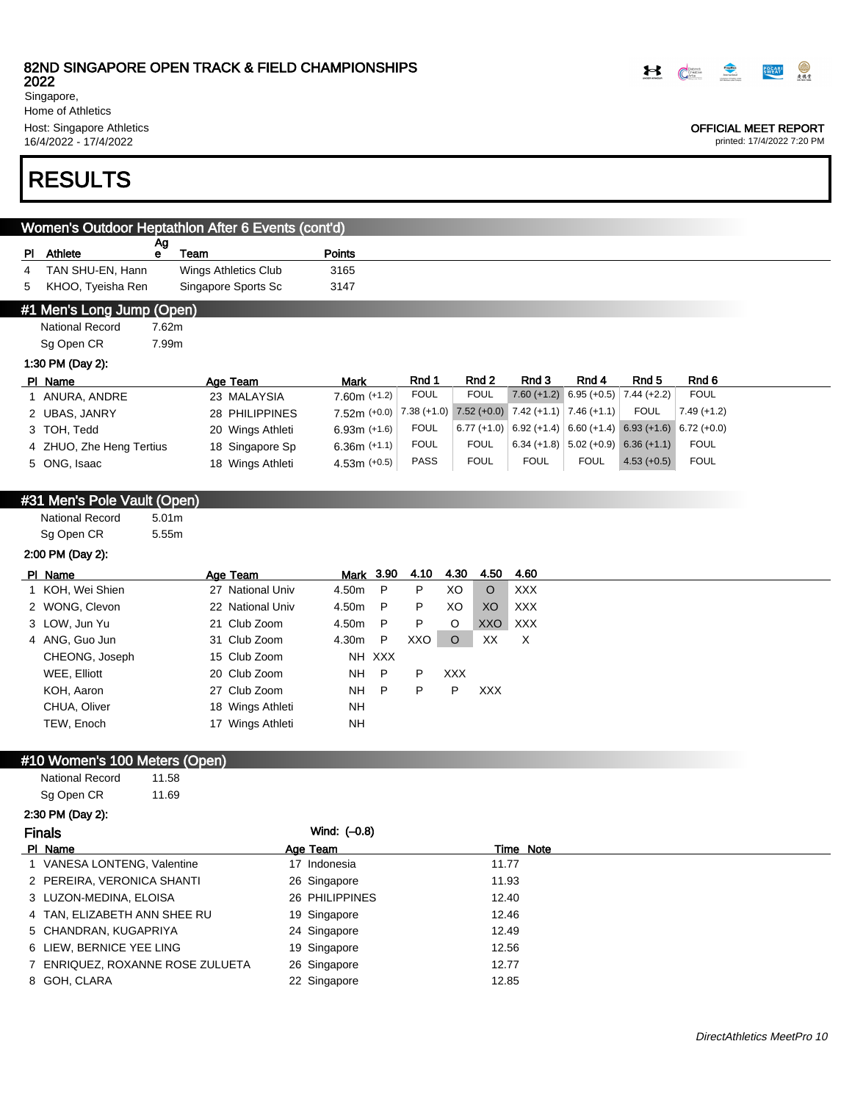2022 Singapore,

Home of Athletics Host: Singapore Athletics 16/4/2022 - 17/4/2022

## RESULTS

| Women's Outdoor Heptathlon After 6 Events (cont'd) |                             |                   |                             |                |              |               |                           |                                       |               |               |
|----------------------------------------------------|-----------------------------|-------------------|-----------------------------|----------------|--------------|---------------|---------------------------|---------------------------------------|---------------|---------------|
|                                                    | PI Athlete                  | Ag<br>e           | Team                        | Points         |              |               |                           |                                       |               |               |
| 4                                                  | TAN SHU-EN, Hann            |                   | <b>Wings Athletics Club</b> | 3165           |              |               |                           |                                       |               |               |
| 5                                                  | KHOO, Tyeisha Ren           |                   | Singapore Sports Sc         | 3147           |              |               |                           |                                       |               |               |
|                                                    | #1 Men's Long Jump (Open)   |                   |                             |                |              |               |                           |                                       |               |               |
|                                                    | <b>National Record</b>      | 7.62m             |                             |                |              |               |                           |                                       |               |               |
|                                                    | Sg Open CR                  | 7.99m             |                             |                |              |               |                           |                                       |               |               |
|                                                    | 1:30 PM (Day 2):            |                   |                             |                |              |               |                           |                                       |               |               |
|                                                    | PI Name                     |                   | Age Team                    | <b>Mark</b>    | Rnd 1        | Rnd 2         | Rnd 3                     | Rnd 4                                 | Rnd 5         | Rnd 6         |
|                                                    | 1 ANURA, ANDRE              |                   | 23 MALAYSIA                 | $7.60m (+1.2)$ | <b>FOUL</b>  | <b>FOUL</b>   |                           | $7.60 (+1.2) 6.95 (+0.5)$             | $7.44 (+2.2)$ | <b>FOUL</b>   |
|                                                    | 2 UBAS, JANRY               |                   | 28 PHILIPPINES              | $7.52m (+0.0)$ | $7.38(+1.0)$ | $7.52 (+0.0)$ | $7.42 (+1.1)$ 7.46 (+1.1) |                                       | <b>FOUL</b>   | $7.49 (+1.2)$ |
|                                                    | 3 TOH, Tedd                 |                   | 20 Wings Athleti            | $6.93m (+1.6)$ | <b>FOUL</b>  | $6.77(+1.0)$  |                           | $6.92 (+1.4) 6.60 (+1.4) 6.93 (+1.6)$ |               | $6.72 (+0.0)$ |
|                                                    | 4 ZHUO, Zhe Heng Tertius    |                   | 18 Singapore Sp             | $6.36m (+1.1)$ | <b>FOUL</b>  | <b>FOUL</b>   |                           | $6.34 (+1.8)$ 5.02 (+0.9) 6.36 (+1.1) |               | <b>FOUL</b>   |
|                                                    | 5 ONG, Isaac                |                   | 18 Wings Athleti            | 4.53m $(+0.5)$ | <b>PASS</b>  | <b>FOUL</b>   | <b>FOUL</b>               | <b>FOUL</b>                           | $4.53 (+0.5)$ | <b>FOUL</b>   |
|                                                    |                             |                   |                             |                |              |               |                           |                                       |               |               |
|                                                    | #31 Men's Pole Vault (Open) |                   |                             |                |              |               |                           |                                       |               |               |
|                                                    | <b>National Record</b>      | 5.01 <sub>m</sub> |                             |                |              |               |                           |                                       |               |               |
|                                                    | Sg Open CR                  | 5.55m             |                             |                |              |               |                           |                                       |               |               |
|                                                    | 2:00 PM (Day 2):            |                   |                             |                |              |               |                           |                                       |               |               |
|                                                    |                             |                   |                             |                |              |               |                           |                                       |               |               |

| PI Name          | Age Team         | Mark 3.90 |              | 4.10 | 4.30       | 4.50    | 4.60       |
|------------------|------------------|-----------|--------------|------|------------|---------|------------|
| 1 KOH, Wei Shien | 27 National Univ | 4.50m     | P            | P.   | XO         | $\circ$ | <b>XXX</b> |
| 2 WONG, Clevon   | 22 National Univ | 4.50m     | P            | P    | XO         | XO      | <b>XXX</b> |
| 3 LOW, Jun Yu    | 21 Club Zoom     | 4.50m     | P            | P.   | O          | XXO     | <b>XXX</b> |
| 4 ANG, Guo Jun   | 31 Club Zoom     | 4.30m     | P            | XXO  | $\circ$    | XX      | X          |
| CHEONG, Joseph   | 15 Club Zoom     |           | NH XXX       |      |            |         |            |
| WEE, Elliott     | 20 Club Zoom     | NH        | P.           | P    | <b>XXX</b> |         |            |
| KOH, Aaron       | 27 Club Zoom     | NΗ        | $\mathsf{P}$ | P    | P          | XXX.    |            |
| CHUA, Oliver     | 18 Wings Athleti | NΗ        |              |      |            |         |            |
| TEW, Enoch       | 17 Wings Athleti | NΗ        |              |      |            |         |            |
|                  |                  |           |              |      |            |         |            |

## #10 Women's 100 Meters (Open)

National Record 11.58 Sg Open CR 11.69

## 2:30 PM (Day 2):

| Wind: $(-0.8)$ |
|----------------|
|                |

| PI Name                          | Age Team       | Time Note |  |
|----------------------------------|----------------|-----------|--|
| 1 VANESA LONTENG, Valentine      | 17 Indonesia   | 11.77     |  |
| 2 PEREIRA, VERONICA SHANTI       | 26 Singapore   | 11.93     |  |
| 3 LUZON-MEDINA, ELOISA           | 26 PHILIPPINES | 12.40     |  |
| 4 TAN, ELIZABETH ANN SHEE RU     | 19 Singapore   | 12.46     |  |
| 5 CHANDRAN, KUGAPRIYA            | 24 Singapore   | 12.49     |  |
| 6 LIEW. BERNICE YEE LING         | 19 Singapore   | 12.56     |  |
| 7 ENRIQUEZ, ROXANNE ROSE ZULUETA | 26 Singapore   | 12.77     |  |
| 8 GOH, CLARA                     | 22 Singapore   | 12.85     |  |
|                                  |                |           |  |



#### OFFICIAL MEET REPORT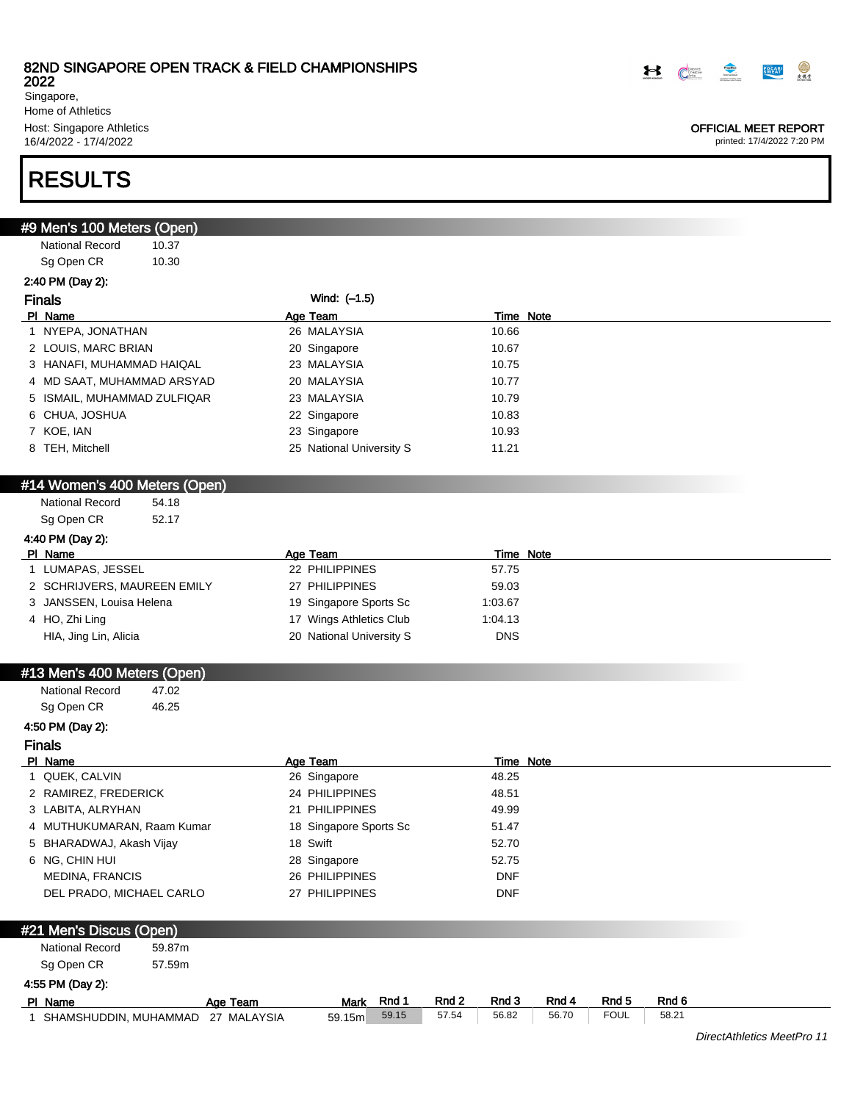2022

Singapore, Home of Athletics Host: Singapore Athletics 16/4/2022 - 17/4/2022

# RESULTS

| <u>#9 Men</u> 's 100 Meters (Open)  |        |          |                            |       |       |                    |       |                  |       |                            |
|-------------------------------------|--------|----------|----------------------------|-------|-------|--------------------|-------|------------------|-------|----------------------------|
| <b>National Record</b>              | 10.37  |          |                            |       |       |                    |       |                  |       |                            |
| Sg Open CR                          | 10.30  |          |                            |       |       |                    |       |                  |       |                            |
| 2:40 PM (Day 2):                    |        |          |                            |       |       |                    |       |                  |       |                            |
| <b>Finals</b>                       |        |          | Wind: (-1.5)               |       |       |                    |       |                  |       |                            |
| PI Name                             |        |          | Age Team                   |       |       | Time Note          |       |                  |       |                            |
| 1 NYEPA, JONATHAN                   |        |          | 26 MALAYSIA                |       |       | 10.66              |       |                  |       |                            |
| 2 LOUIS, MARC BRIAN                 |        |          | 20 Singapore               |       |       | 10.67              |       |                  |       |                            |
| 3 HANAFI, MUHAMMAD HAIQAL           |        |          | 23 MALAYSIA                |       |       | 10.75              |       |                  |       |                            |
| 4 MD SAAT, MUHAMMAD ARSYAD          |        |          | 20 MALAYSIA                |       |       | 10.77              |       |                  |       |                            |
| 5 ISMAIL, MUHAMMAD ZULFIQAR         |        |          | 23 MALAYSIA                |       |       | 10.79              |       |                  |       |                            |
| 6 CHUA, JOSHUA                      |        |          | 22 Singapore               |       |       | 10.83              |       |                  |       |                            |
| 7 KOE, IAN                          |        |          | 23 Singapore               |       |       | 10.93              |       |                  |       |                            |
| 8 TEH, Mitchell                     |        |          | 25 National University S   |       |       | 11.21              |       |                  |       |                            |
|                                     |        |          |                            |       |       |                    |       |                  |       |                            |
| #14 Women's 400 Meters (Open)       |        |          |                            |       |       |                    |       |                  |       |                            |
| National Record                     | 54.18  |          |                            |       |       |                    |       |                  |       |                            |
| Sg Open CR                          | 52.17  |          |                            |       |       |                    |       |                  |       |                            |
| 4:40 PM (Day 2):                    |        |          |                            |       |       |                    |       |                  |       |                            |
| PI Name<br>1 LUMAPAS, JESSEL        |        |          | Age Team<br>22 PHILIPPINES |       |       | Time Note<br>57.75 |       |                  |       |                            |
|                                     |        |          | 27 PHILIPPINES             |       |       |                    |       |                  |       |                            |
| 2 SCHRIJVERS, MAUREEN EMILY         |        |          |                            |       |       | 59.03              |       |                  |       |                            |
| 3 JANSSEN, Louisa Helena            |        |          | 19 Singapore Sports Sc     |       |       | 1:03.67            |       |                  |       |                            |
| 4 HO, Zhi Ling                      |        |          | 17 Wings Athletics Club    |       |       | 1:04.13            |       |                  |       |                            |
| HIA, Jing Lin, Alicia               |        |          | 20 National University S   |       |       | <b>DNS</b>         |       |                  |       |                            |
| #13 Men's 400 Meters (Open)         |        |          |                            |       |       |                    |       |                  |       |                            |
| <b>National Record</b>              | 47.02  |          |                            |       |       |                    |       |                  |       |                            |
| Sg Open CR                          | 46.25  |          |                            |       |       |                    |       |                  |       |                            |
| 4:50 PM (Day 2):                    |        |          |                            |       |       |                    |       |                  |       |                            |
| <b>Finals</b>                       |        |          |                            |       |       |                    |       |                  |       |                            |
| PI Name                             |        |          | Age Team                   |       |       | <b>Time Note</b>   |       |                  |       |                            |
| 1 QUEK, CALVIN                      |        |          | 26 Singapore               |       |       | 48.25              |       |                  |       |                            |
| 2 RAMIREZ, FREDERICK                |        |          | 24 PHILIPPINES             |       |       | 48.51              |       |                  |       |                            |
| 3 LABITA, ALRYHAN                   |        |          | 21 PHILIPPINES             |       |       | 49.99              |       |                  |       |                            |
| 4 MUTHUKUMARAN, Raam Kumar          |        |          | 18 Singapore Sports Sc     |       |       | 51.47              |       |                  |       |                            |
| 5 BHARADWAJ, Akash Vijay            |        |          | 18 Swift                   |       |       | 52.70              |       |                  |       |                            |
| 6 NG, CHIN HUI                      |        |          | 28 Singapore               |       |       | 52.75              |       |                  |       |                            |
| <b>MEDINA, FRANCIS</b>              |        |          | 26 PHILIPPINES             |       |       | <b>DNF</b>         |       |                  |       |                            |
| DEL PRADO, MICHAEL CARLO            |        |          | 27 PHILIPPINES             |       |       | <b>DNF</b>         |       |                  |       |                            |
|                                     |        |          |                            |       |       |                    |       |                  |       |                            |
| #21 Men's Discus (Open)             |        |          |                            |       |       |                    |       |                  |       |                            |
| <b>National Record</b>              | 59.87m |          |                            |       |       |                    |       |                  |       |                            |
| Sg Open CR                          | 57.59m |          |                            |       |       |                    |       |                  |       |                            |
| 4:55 PM (Day 2):                    |        |          |                            |       |       |                    |       |                  |       |                            |
| PI Name                             |        | Age Team | Mark                       | Rnd 1 | Rnd 2 | Rnd 3              | Rnd 4 | Rnd <sub>5</sub> | Rnd 6 |                            |
| 1 SHAMSHUDDIN, MUHAMMAD 27 MALAYSIA |        |          | 59.15m                     | 59.15 | 57.54 | 56.82              | 56.70 | <b>FOUL</b>      | 58.21 |                            |
|                                     |        |          |                            |       |       |                    |       |                  |       | DirectAthletics MeetPro 11 |



#### OFFICIAL MEET REPORT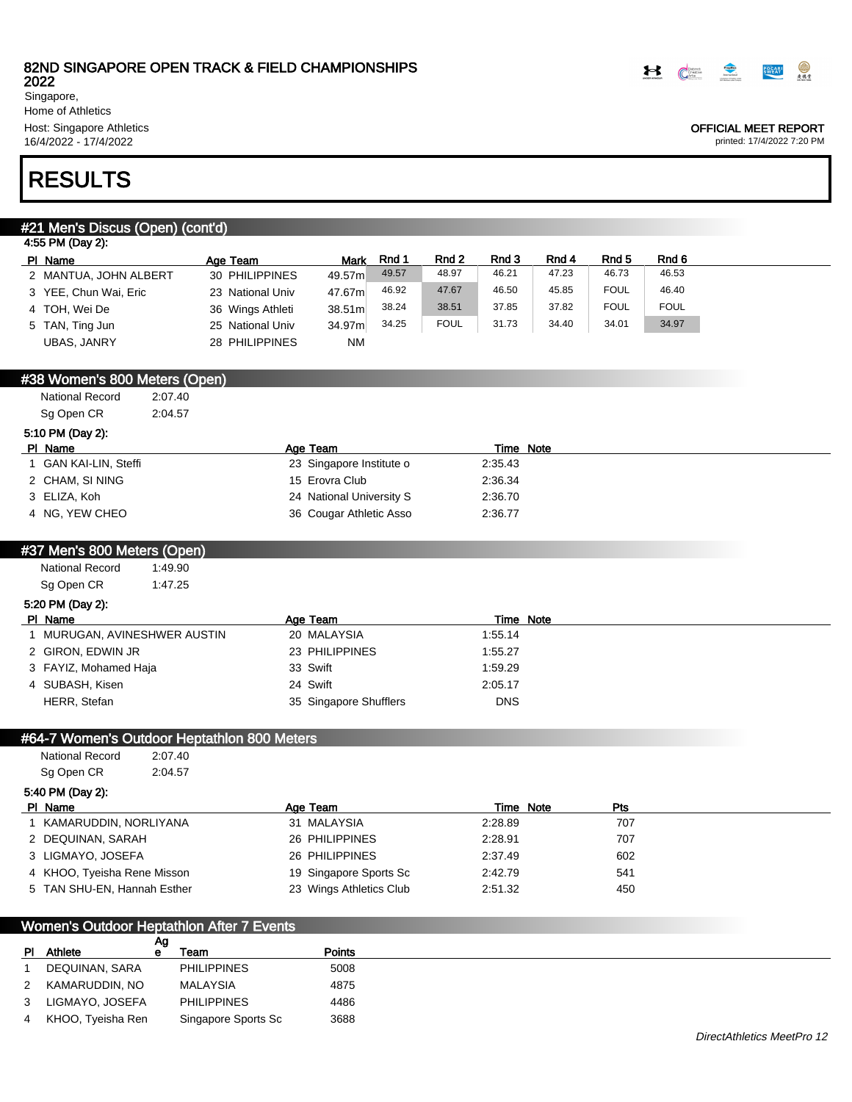

2022 Singapore, Home of Athletics Host: Singapore Athletics 16/4/2022 - 17/4/2022

## OFFICIAL MEET REPORT

printed: 17/4/2022 7:20 PM

# RESULTS

## #21 Men's Discus (Open) (cont'd)

| 4:55 PM (Day 2):      |                  |             |       |             |       |       |             |             |
|-----------------------|------------------|-------------|-------|-------------|-------|-------|-------------|-------------|
| PI Name               | Age Team         | <b>Mark</b> | Rnd 1 | Rnd 2       | Rnd 3 | Rnd 4 | Rnd 5       | Rnd 6       |
| 2 MANTUA, JOHN ALBERT | 30 PHILIPPINES   | 49.57m      | 49.57 | 48.97       | 46.21 | 47.23 | 46.73       | 46.53       |
| 3 YEE, Chun Wai, Eric | 23 National Univ | 47.67m      | 46.92 | 47.67       | 46.50 | 45.85 | <b>FOUL</b> | 46.40       |
| 4 TOH, Wei De         | 36 Wings Athleti | 38.51m      | 38.24 | 38.51       | 37.85 | 37.82 | <b>FOUL</b> | <b>FOUL</b> |
| 5 TAN, Ting Jun       | 25 National Univ | 34.97m      | 34.25 | <b>FOUL</b> | 31.73 | 34.40 | 34.01       | 34.97       |
| UBAS. JANRY           | 28 PHILIPPINES   | <b>NM</b>   |       |             |       |       |             |             |

## #38 Women's 800 Meters (Open)

National Record 2:07.40 Sg Open CR 2:04.57

|  | 5:10 PM (Day 2): |  |
|--|------------------|--|
|  |                  |  |

| PI Name             | Age Team                 | Time Note |
|---------------------|--------------------------|-----------|
| GAN KAI-LIN, Steffi | 23 Singapore Institute o | 2:35.43   |
| 2 CHAM. SI NING     | 15 Erovra Club           | 2:36.34   |
| 3 ELIZA. Koh        | 24 National University S | 2:36.70   |
| 4 NG. YEW CHEO      | 36 Cougar Athletic Asso  | 2:36.77   |

## #37 Men's 800 Meters (Open)

National Record 1:49.90 Sg Open CR 1:47.25

### 5:20 PM (Day 2):

| PI Name                      | Age Team               | Time Note  |
|------------------------------|------------------------|------------|
| 1 MURUGAN, AVINESHWER AUSTIN | 20 MALAYSIA            | 1:55.14    |
| 2 GIRON, EDWIN JR            | 23 PHILIPPINES         | 1:55.27    |
| 3 FAYIZ, Mohamed Haja        | 33 Swift               | 1:59.29    |
| 4 SUBASH, Kisen              | 24 Swift               | 2:05.17    |
| HERR, Stefan                 | 35 Singapore Shufflers | <b>DNS</b> |

## #64-7 Women's Outdoor Heptathlon 800 Meters

| National Record | 2:07.40 |
|-----------------|---------|
| Sg Open CR      | 2:04.57 |

#### 5:40 PM (Day 2):

| PI Name                     | Age Team                | Time Note | Pts |
|-----------------------------|-------------------------|-----------|-----|
| I KAMARUDDIN, NORLIYANA     | 31 MALAYSIA             | 2:28.89   | 707 |
| 2 DEQUINAN, SARAH           | 26 PHILIPPINES          | 2:28.91   | 707 |
| 3 LIGMAYO, JOSEFA           | 26 PHILIPPINES          | 2:37.49   | 602 |
| 4 KHOO, Tyeisha Rene Misson | 19 Singapore Sports Sc  | 2:42.79   | 541 |
| 5 TAN SHU-EN, Hannah Esther | 23 Wings Athletics Club | 2:51.32   | 450 |

### Women's Outdoor Heptathlon After 7 Events

|             |                   | Αg |                     |        |
|-------------|-------------------|----|---------------------|--------|
| PL.         | Athlete           | е  | Team                | Points |
|             | DEQUINAN, SARA    |    | <b>PHILIPPINES</b>  | 5008   |
| $2^{\circ}$ | KAMARUDDIN. NO    |    | <b>MALAYSIA</b>     | 4875   |
| 3           | LIGMAYO, JOSEFA   |    | <b>PHILIPPINES</b>  | 4486   |
| 4           | KHOO, Tyeisha Ren |    | Singapore Sports Sc | 3688   |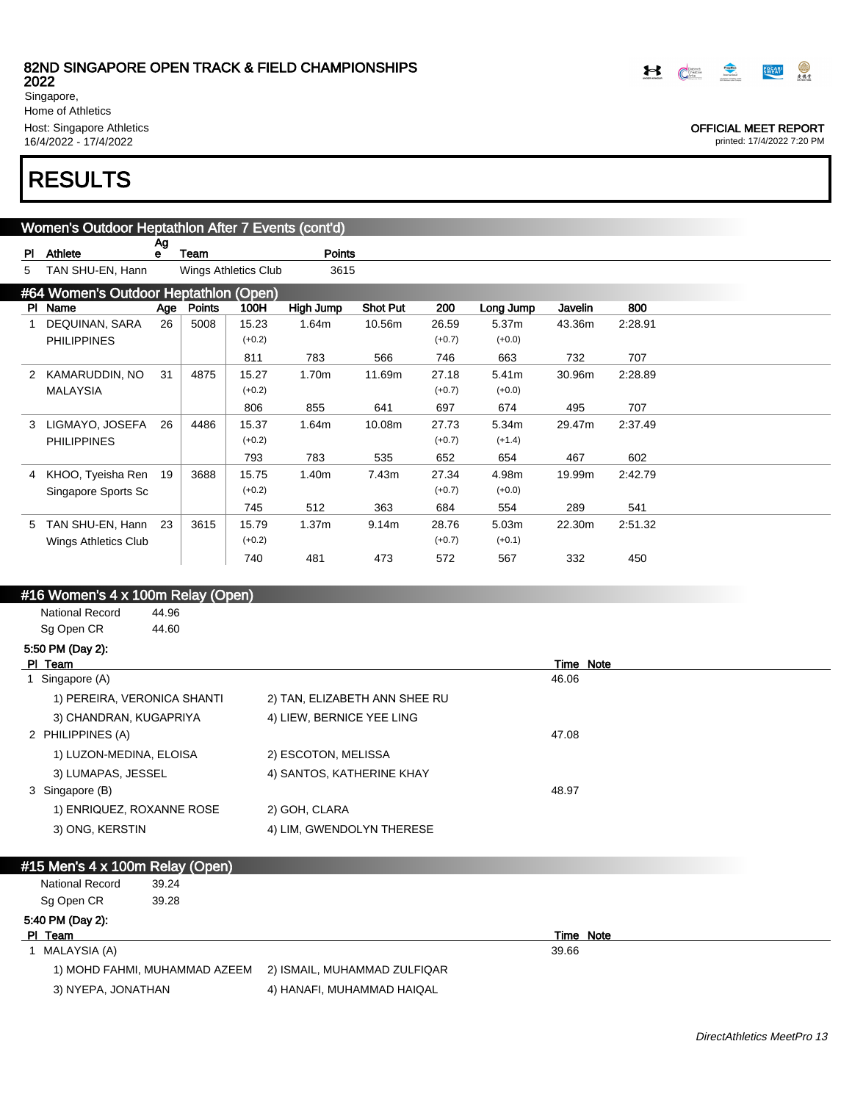Singapore, Home of Athletics Host: Singapore Athletics 16/4/2022 - 17/4/2022

# RESULTS

#### Women's Outdoor Heptathlon After 7 Events (cont'd)  $\overline{\mathbf{A}}$

| PI | Athlete                               | гw<br>е | Team   |                      | <b>Points</b>     |                 |          |           |         |         |  |
|----|---------------------------------------|---------|--------|----------------------|-------------------|-----------------|----------|-----------|---------|---------|--|
| 5  | TAN SHU-EN, Hann                      |         |        | Wings Athletics Club | 3615              |                 |          |           |         |         |  |
|    | #64 Women's Outdoor Heptathlon (Open) |         |        |                      |                   |                 |          |           |         |         |  |
|    | PI Name                               | Age     | Points | 100H                 | High Jump         | <b>Shot Put</b> | 200      | Long Jump | Javelin | 800     |  |
|    | DEQUINAN, SARA                        | 26      | 5008   | 15.23                | 1.64m             | 10.56m          | 26.59    | 5.37m     | 43.36m  | 2:28.91 |  |
|    | <b>PHILIPPINES</b>                    |         |        | $(+0.2)$             |                   |                 | $(+0.7)$ | $(+0.0)$  |         |         |  |
|    |                                       |         |        | 811                  | 783               | 566             | 746      | 663       | 732     | 707     |  |
|    | 2 KAMARUDDIN, NO                      | 31      | 4875   | 15.27                | 1.70m             | 11.69m          | 27.18    | 5.41m     | 30.96m  | 2:28.89 |  |
|    | <b>MALAYSIA</b>                       |         |        | $(+0.2)$             |                   |                 | $(+0.7)$ | $(+0.0)$  |         |         |  |
|    |                                       |         |        | 806                  | 855               | 641             | 697      | 674       | 495     | 707     |  |
| 3  | LIGMAYO, JOSEFA                       | 26      | 4486   | 15.37                | 1.64m             | 10.08m          | 27.73    | 5.34m     | 29.47m  | 2:37.49 |  |
|    | <b>PHILIPPINES</b>                    |         |        | $(+0.2)$             |                   |                 | $(+0.7)$ | $(+1.4)$  |         |         |  |
|    |                                       |         |        | 793                  | 783               | 535             | 652      | 654       | 467     | 602     |  |
|    | 4 KHOO, Tyeisha Ren                   | 19      | 3688   | 15.75                | 1.40m             | 7.43m           | 27.34    | 4.98m     | 19.99m  | 2:42.79 |  |
|    | Singapore Sports Sc                   |         |        | $(+0.2)$             |                   |                 | $(+0.7)$ | $(+0.0)$  |         |         |  |
|    |                                       |         |        | 745                  | 512               | 363             | 684      | 554       | 289     | 541     |  |
| 5  | TAN SHU-EN, Hann                      | 23      | 3615   | 15.79                | 1.37 <sub>m</sub> | 9.14m           | 28.76    | 5.03m     | 22.30m  | 2:51.32 |  |
|    | Wings Athletics Club                  |         |        | $(+0.2)$             |                   |                 | $(+0.7)$ | $(+0.1)$  |         |         |  |
|    |                                       |         |        | 740                  | 481               | 473             | 572      | 567       | 332     | 450     |  |

## #16 Women's 4 x 100m Relay (Open)

National Record 44.96 Sg Open CR 44.60

## 5:50 PM (Day 2):

| PI Team                     |                               |       | Time Note |
|-----------------------------|-------------------------------|-------|-----------|
| Singapore (A)               |                               | 46.06 |           |
| 1) PEREIRA, VERONICA SHANTI | 2) TAN, ELIZABETH ANN SHEE RU |       |           |
| 3) CHANDRAN, KUGAPRIYA      | 4) LIEW, BERNICE YEE LING     |       |           |
| 2 PHILIPPINES (A)           |                               | 47.08 |           |
| 1) LUZON-MEDINA, ELOISA     | 2) ESCOTON, MELISSA           |       |           |
| 3) LUMAPAS, JESSEL          | 4) SANTOS, KATHERINE KHAY     |       |           |
| 3 Singapore (B)             |                               | 48.97 |           |
| 1) ENRIQUEZ, ROXANNE ROSE   | 2) GOH, CLARA                 |       |           |
| 3) ONG, KERSTIN             | 4) LIM, GWENDOLYN THERESE     |       |           |
|                             |                               |       |           |

## #15 Men's 4 x 100m Relay (Open)

| <b>National Record</b> | 39.24                         |                              |       |                  |  |
|------------------------|-------------------------------|------------------------------|-------|------------------|--|
| Sg Open CR             | 39.28                         |                              |       |                  |  |
| 5:40 PM (Day 2):       |                               |                              |       |                  |  |
| PI Team                |                               |                              |       | <b>Time Note</b> |  |
| 1 MALAYSIA (A)         |                               |                              | 39.66 |                  |  |
|                        | 1) MOHD FAHMI, MUHAMMAD AZEEM | 2) ISMAIL, MUHAMMAD ZULFIQAR |       |                  |  |
| 3) NYEPA, JONATHAN     |                               | 4) HANAFI, MUHAMMAD HAIQAL   |       |                  |  |

 $\begin{picture}(180,10) \put(0,0){\vector(1,0){100}} \put(10,0){\vector(1,0){100}} \put(10,0){\vector(1,0){100}} \put(10,0){\vector(1,0){100}} \put(10,0){\vector(1,0){100}} \put(10,0){\vector(1,0){100}} \put(10,0){\vector(1,0){100}} \put(10,0){\vector(1,0){100}} \put(10,0){\vector(1,0){100}} \put(10,0){\vector(1,0){100}} \put(10,0){\vector(1,0){100}}$ 

#### OFFICIAL MEET REPORT

printed: 17/4/2022 7:20 PM

**POCARI** 

 $\bigcirc$